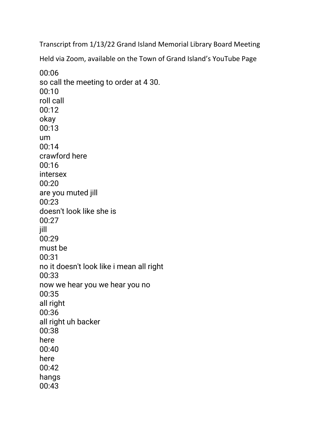Transcript from 1/13/22 Grand Island Memorial Library Board Meeting

Held via Zoom, available on the Town of Grand Island's YouTube Page

00:06 so call the meeting to order at 4 30. 00:10 roll call 00:12 okay 00:13 um 00:14 crawford here 00:16 intersex 00:20 are you muted jill 00:23 doesn't look like she is 00:27 jill 00:29 must be 00:31 no it doesn't look like i mean all right 00:33 now we hear you we hear you no 00:35 all right 00:36 all right uh backer 00:38 here 00:40 here 00:42 hangs 00:43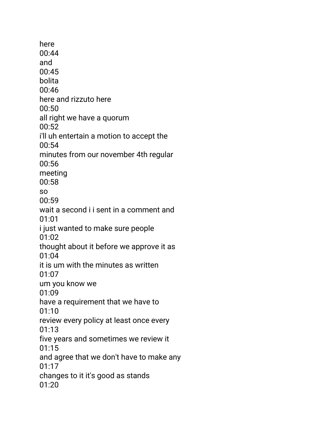here 00:44 and 00:45 bolita 00:46 here and rizzuto here 00:50 all right we have a quorum 00:52 i'll uh entertain a motion to accept the 00:54 minutes from our november 4th regular 00:56 meeting 00:58 so 00:59 wait a second i i sent in a comment and 01:01 i just wanted to make sure people 01:02 thought about it before we approve it as 01:04 it is um with the minutes as written 01:07 um you know we 01:09 have a requirement that we have to 01:10 review every policy at least once every 01:13 five years and sometimes we review it  $01:15$ and agree that we don't have to make any 01:17 changes to it it's good as stands 01:20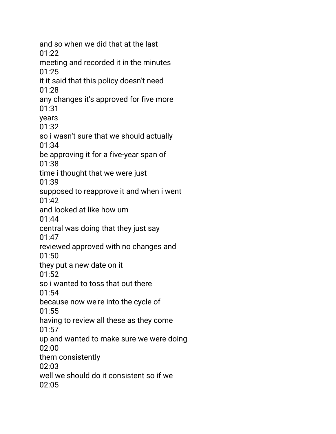and so when we did that at the last 01:22 meeting and recorded it in the minutes 01:25 it it said that this policy doesn't need 01:28 any changes it's approved for five more 01:31 years 01:32 so i wasn't sure that we should actually 01:34 be approving it for a five-year span of 01:38 time i thought that we were just 01:39 supposed to reapprove it and when i went 01:42 and looked at like how um 01:44 central was doing that they just say 01:47 reviewed approved with no changes and 01:50 they put a new date on it 01:52 so i wanted to toss that out there 01:54 because now we're into the cycle of 01:55 having to review all these as they come 01:57 up and wanted to make sure we were doing 02:00 them consistently  $02.03$ well we should do it consistent so if we  $02.05$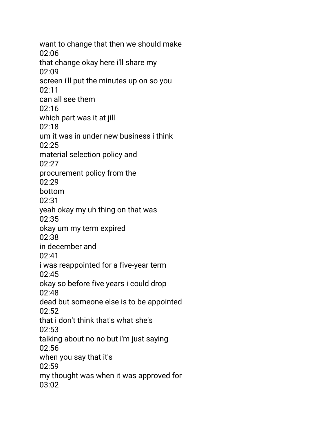want to change that then we should make 02:06 that change okay here i'll share my 02:09 screen i'll put the minutes up on so you 02:11 can all see them 02:16 which part was it at jill 02:18 um it was in under new business i think 02:25 material selection policy and 02:27 procurement policy from the  $02.29$ bottom 02:31 yeah okay my uh thing on that was 02:35 okay um my term expired  $02:38$ in december and 02:41 i was reappointed for a five-year term 02:45 okay so before five years i could drop 02:48 dead but someone else is to be appointed  $02:52$ that i don't think that's what she's 02:53 talking about no no but i'm just saying  $02:56$ when you say that it's 02:59 my thought was when it was approved for  $03:02$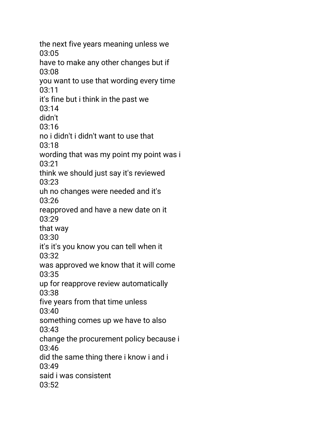the next five years meaning unless we 03:05 have to make any other changes but if 03:08 you want to use that wording every time 03:11 it's fine but i think in the past we 03:14 didn't 03:16 no i didn't i didn't want to use that 03:18 wording that was my point my point was i 03:21 think we should just say it's reviewed 03:23 uh no changes were needed and it's 03:26 reapproved and have a new date on it 03:29 that way 03:30 it's it's you know you can tell when it 03:32 was approved we know that it will come 03:35 up for reapprove review automatically 03:38 five years from that time unless 03:40 something comes up we have to also 03:43 change the procurement policy because i 03:46 did the same thing there i know i and i 03:49 said i was consistent  $03:52$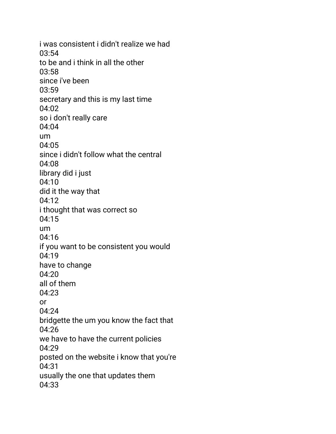i was consistent i didn't realize we had 03:54 to be and i think in all the other 03:58 since i've been 03:59 secretary and this is my last time 04:02 so i don't really care 04:04 um 04:05 since i didn't follow what the central 04:08 library did i just 04:10 did it the way that 04:12 i thought that was correct so 04:15 um 04:16 if you want to be consistent you would 04:19 have to change 04:20 all of them 04:23 or 04:24 bridgette the um you know the fact that 04:26 we have to have the current policies 04:29 posted on the website i know that you're 04:31 usually the one that updates them 04:33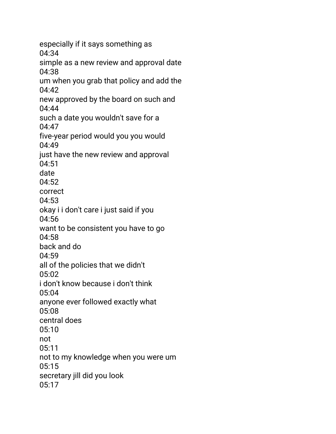especially if it says something as 04:34 simple as a new review and approval date 04:38 um when you grab that policy and add the 04:42 new approved by the board on such and 04:44 such a date you wouldn't save for a 04:47 five-year period would you you would 04:49 just have the new review and approval 04:51 date  $04:52$ correct 04:53 okay i i don't care i just said if you 04:56 want to be consistent you have to go 04:58 back and do 04:59 all of the policies that we didn't 05:02 i don't know because i don't think 05:04 anyone ever followed exactly what 05:08 central does 05:10 not 05:11 not to my knowledge when you were um 05:15 secretary jill did you look 05:17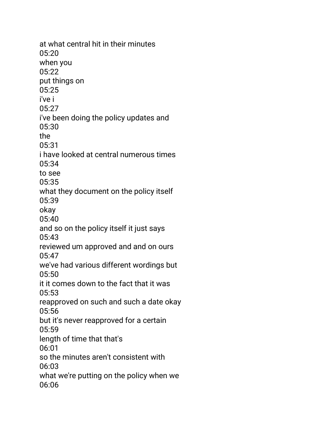at what central hit in their minutes 05:20 when you 05:22 put things on 05:25 i've i 05:27 i've been doing the policy updates and 05:30 the 05:31 i have looked at central numerous times 05:34 to see 05:35 what they document on the policy itself 05:39 okay 05:40 and so on the policy itself it just says 05:43 reviewed um approved and and on ours 05:47 we've had various different wordings but 05:50 it it comes down to the fact that it was 05:53 reapproved on such and such a date okay 05:56 but it's never reapproved for a certain 05:59 length of time that that's 06:01 so the minutes aren't consistent with 06:03 what we're putting on the policy when we 06:06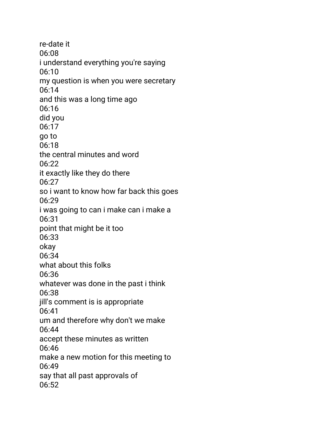re-date it 06:08 i understand everything you're saying 06:10 my question is when you were secretary 06:14 and this was a long time ago 06:16 did you 06:17 go to 06:18 the central minutes and word 06:22 it exactly like they do there  $06:27$ so i want to know how far back this goes 06:29 i was going to can i make can i make a 06:31 point that might be it too 06:33 okay 06:34 what about this folks 06:36 whatever was done in the past i think 06:38 jill's comment is is appropriate 06:41 um and therefore why don't we make 06:44 accept these minutes as written 06:46 make a new motion for this meeting to 06:49 say that all past approvals of 06:52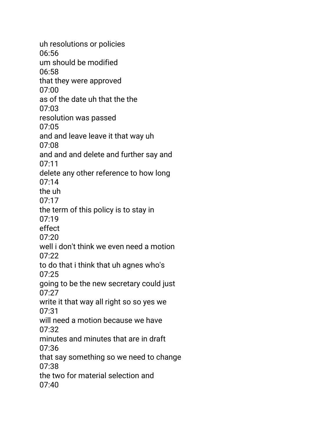uh resolutions or policies 06:56 um should be modified 06:58 that they were approved 07:00 as of the date uh that the the 07:03 resolution was passed 07:05 and and leave leave it that way uh 07:08 and and and delete and further say and 07:11 delete any other reference to how long  $07.14$ the uh 07:17 the term of this policy is to stay in 07:19 effect  $07:20$ well i don't think we even need a motion 07:22 to do that i think that uh agnes who's 07:25 going to be the new secretary could just 07:27 write it that way all right so so yes we 07:31 will need a motion because we have 07:32 minutes and minutes that are in draft 07:36 that say something so we need to change 07:38 the two for material selection and  $07:40$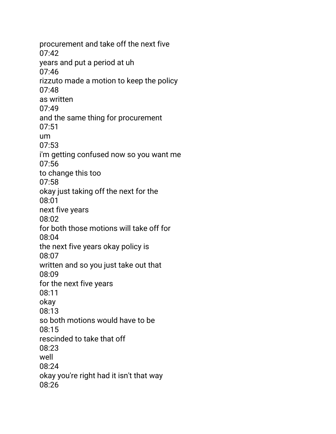procurement and take off the next five 07:42 years and put a period at uh 07:46 rizzuto made a motion to keep the policy 07:48 as written 07:49 and the same thing for procurement 07:51 um 07:53 i'm getting confused now so you want me 07:56 to change this too 07:58 okay just taking off the next for the 08:01 next five years 08:02 for both those motions will take off for 08:04 the next five years okay policy is 08:07 written and so you just take out that 08:09 for the next five years 08:11 okay 08:13 so both motions would have to be 08:15 rescinded to take that off 08:23 well 08:24 okay you're right had it isn't that way 08:26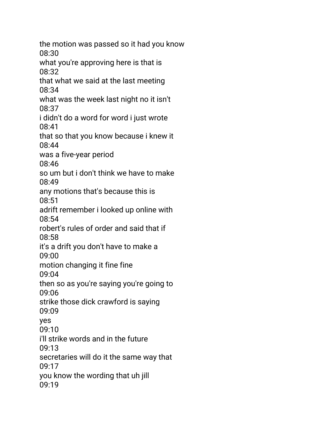the motion was passed so it had you know 08:30 what you're approving here is that is 08:32 that what we said at the last meeting 08:34 what was the week last night no it isn't 08:37 i didn't do a word for word i just wrote 08:41 that so that you know because i knew it 08:44 was a five-year period 08:46 so um but i don't think we have to make 08:49 any motions that's because this is 08:51 adrift remember i looked up online with 08:54 robert's rules of order and said that if 08:58 it's a drift you don't have to make a 09:00 motion changing it fine fine 09:04 then so as you're saying you're going to 09:06 strike those dick crawford is saying 09:09 yes 09:10 i'll strike words and in the future 09:13 secretaries will do it the same way that 09:17 you know the wording that uh jill 09:19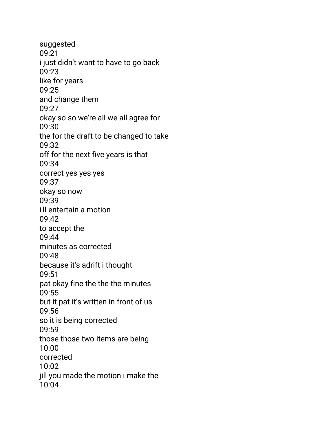suggested 09:21 i just didn't want to have to go back 09:23 like for years 09:25 and change them 09:27 okay so so we're all we all agree for 09:30 the for the draft to be changed to take 09:32 off for the next five years is that 09:34 correct yes yes yes 09:37 okay so now 09:39 i'll entertain a motion 09:42 to accept the 09:44 minutes as corrected 09:48 because it's adrift i thought 09:51 pat okay fine the the the minutes 09:55 but it pat it's written in front of us 09:56 so it is being corrected 09:59 those those two items are being 10:00 corrected 10:02 jill you made the motion i make the 10:04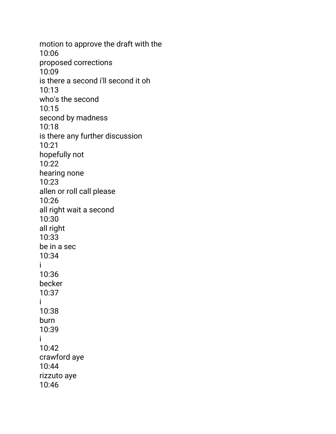motion to approve the draft with the 10:06 proposed corrections 10:09 is there a second i'll second it oh 10:13 who's the second 10:15 second by madness 10:18 is there any further discussion 10:21 hopefully not 10:22 hearing none 10:23 allen or roll call please 10:26 all right wait a second 10:30 all right 10:33 be in a sec 10:34 i 10:36 becker 10:37 i 10:38 burn 10:39 i 10:42 crawford aye 10:44 rizzuto aye 10:46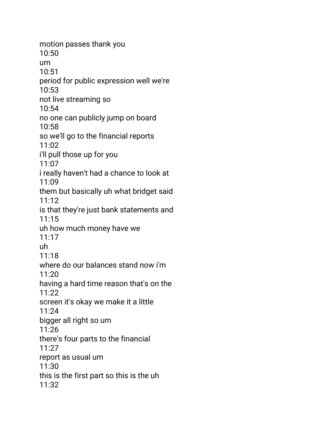motion passes thank you 10:50 um 10:51 period for public expression well we're 10:53 not live streaming so 10:54 no one can publicly jump on board 10:58 so we'll go to the financial reports 11:02 i'll pull those up for you 11:07 i really haven't had a chance to look at 11:09 them but basically uh what bridget said 11:12 is that they're just bank statements and 11:15 uh how much money have we 11:17 uh 11:18 where do our balances stand now i'm 11:20 having a hard time reason that's on the 11:22 screen it's okay we make it a little 11:24 bigger all right so um 11:26 there's four parts to the financial 11:27 report as usual um 11:30 this is the first part so this is the uh 11:32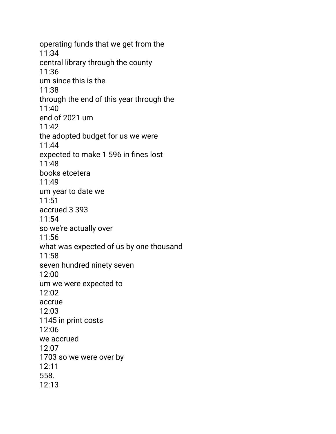operating funds that we get from the 11:34 central library through the county 11:36 um since this is the 11:38 through the end of this year through the 11:40 end of 2021 um 11:42 the adopted budget for us we were 11:44 expected to make 1 596 in fines lost 11:48 books etcetera 11:49 um year to date we 11:51 accrued 3 393 11:54 so we're actually over 11:56 what was expected of us by one thousand 11:58 seven hundred ninety seven 12:00 um we were expected to 12:02 accrue 12:03 1145 in print costs 12:06 we accrued 12:07 1703 so we were over by 12:11 558. 12:13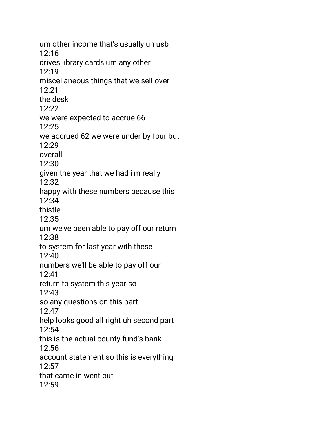um other income that's usually uh usb 12:16 drives library cards um any other 12:19 miscellaneous things that we sell over 12:21 the desk 12:22 we were expected to accrue 66 12:25 we accrued 62 we were under by four but 12:29 overall 12:30 given the year that we had i'm really 12:32 happy with these numbers because this 12:34 thistle 12:35 um we've been able to pay off our return 12:38 to system for last year with these 12:40 numbers we'll be able to pay off our 12:41 return to system this year so 12:43 so any questions on this part 12:47 help looks good all right uh second part 12:54 this is the actual county fund's bank  $12:56$ account statement so this is everything  $12:57$ that came in went out  $12:59$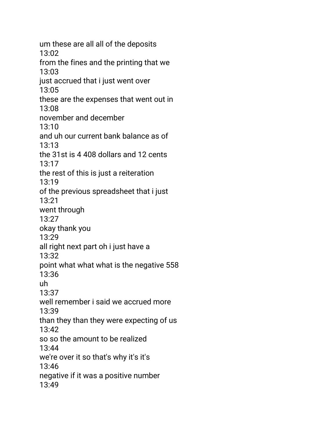um these are all all of the deposits 13:02 from the fines and the printing that we 13:03 just accrued that i just went over 13:05 these are the expenses that went out in 13:08 november and december 13:10 and uh our current bank balance as of 13:13 the 31st is 4 408 dollars and 12 cents 13:17 the rest of this is just a reiteration 13:19 of the previous spreadsheet that i just 13:21 went through 13:27 okay thank you 13:29 all right next part oh i just have a 13:32 point what what what is the negative 558 13:36 uh 13:37 well remember i said we accrued more 13:39 than they than they were expecting of us  $13:42$ so so the amount to be realized 13:44 we're over it so that's why it's it's 13:46 negative if it was a positive number 13:49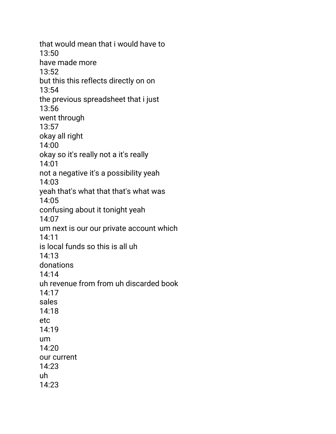that would mean that i would have to 13:50 have made more 13:52 but this this reflects directly on on 13:54 the previous spreadsheet that i just 13:56 went through 13:57 okay all right 14:00 okay so it's really not a it's really 14:01 not a negative it's a possibility yeah 14:03 yeah that's what that that's what was 14:05 confusing about it tonight yeah 14:07 um next is our our private account which 14:11 is local funds so this is all uh 14:13 donations 14:14 uh revenue from from uh discarded book 14:17 sales 14:18 etc 14:19 um 14:20 our current 14:23 uh 14:23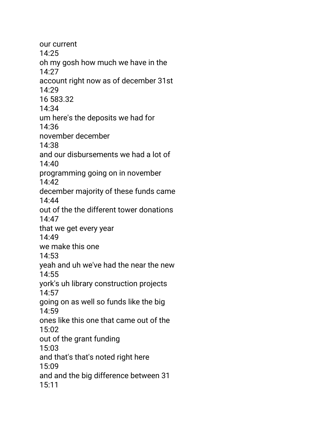our current 14:25 oh my gosh how much we have in the 14:27 account right now as of december 31st 14:29 16 583.32 14:34 um here's the deposits we had for 14:36 november december 14:38 and our disbursements we had a lot of  $14:40$ programming going on in november 14:42 december majority of these funds came 14:44 out of the the different tower donations 14:47 that we get every year 14:49 we make this one 14:53 yeah and uh we've had the near the new 14:55 york's uh library construction projects 14:57 going on as well so funds like the big 14:59 ones like this one that came out of the 15:02 out of the grant funding 15:03 and that's that's noted right here 15:09 and and the big difference between 31 15:11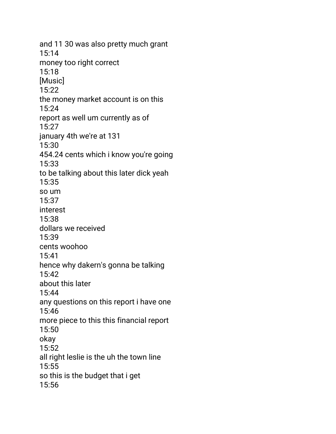and 11 30 was also pretty much grant 15:14 money too right correct 15:18 [Music] 15:22 the money market account is on this 15:24 report as well um currently as of 15:27 january 4th we're at 131 15:30 454.24 cents which i know you're going 15:33 to be talking about this later dick yeah 15:35 so um 15:37 interest 15:38 dollars we received 15:39 cents woohoo 15:41 hence why dakern's gonna be talking 15:42 about this later 15:44 any questions on this report i have one 15:46 more piece to this this financial report 15:50 okay 15:52 all right leslie is the uh the town line 15:55 so this is the budget that i get 15:56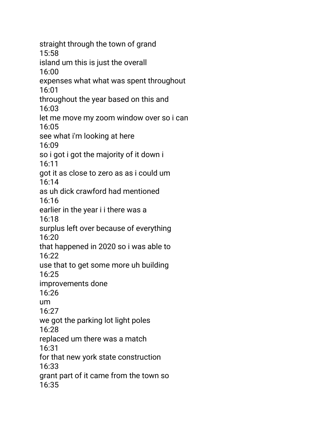straight through the town of grand 15:58 island um this is just the overall 16:00 expenses what what was spent throughout 16:01 throughout the year based on this and 16:03 let me move my zoom window over so i can 16:05 see what i'm looking at here 16:09 so i got i got the majority of it down i 16:11 got it as close to zero as as i could um 16:14 as uh dick crawford had mentioned 16:16 earlier in the year i i there was a 16:18 surplus left over because of everything 16:20 that happened in 2020 so i was able to 16:22 use that to get some more uh building 16:25 improvements done 16:26 um 16:27 we got the parking lot light poles 16:28 replaced um there was a match 16:31 for that new york state construction 16:33 grant part of it came from the town so 16:35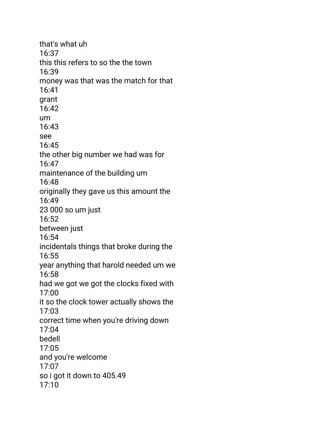that's what uh 16:37 this this refers to so the the town 16:39 money was that was the match for that 16:41 grant 16:42 um 16:43 see 16:45 the other big number we had was for 16:47 maintenance of the building um 16:48 originally they gave us this amount the 16:49 23 000 so um just 16:52 between just 16:54 incidentals things that broke during the 16:55 year anything that harold needed um we 16:58 had we got we got the clocks fixed with 17:00 it so the clock tower actually shows the 17:03 correct time when you're driving down 17:04 bedell 17:05 and you're welcome 17:07 so i got it down to 405.49 17:10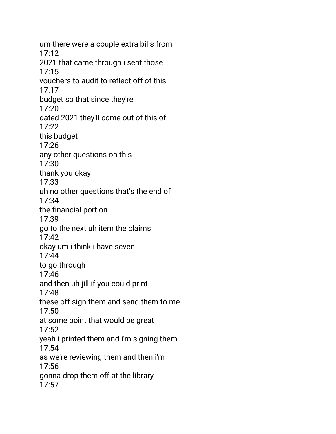um there were a couple extra bills from 17:12 2021 that came through i sent those 17:15 vouchers to audit to reflect off of this 17:17 budget so that since they're 17:20 dated 2021 they'll come out of this of 17:22 this budget 17:26 any other questions on this 17:30 thank you okay 17:33 uh no other questions that's the end of 17:34 the financial portion 17:39 go to the next uh item the claims 17:42 okay um i think i have seven 17:44 to go through 17:46 and then uh jill if you could print 17:48 these off sign them and send them to me 17:50 at some point that would be great 17:52 yeah i printed them and i'm signing them 17:54 as we're reviewing them and then i'm 17:56 gonna drop them off at the library 17:57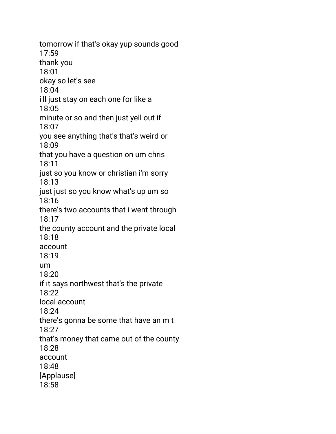tomorrow if that's okay yup sounds good 17:59 thank you 18:01 okay so let's see 18:04 i'll just stay on each one for like a 18:05 minute or so and then just yell out if 18:07 you see anything that's that's weird or 18:09 that you have a question on um chris 18:11 just so you know or christian i'm sorry 18:13 just just so you know what's up um so 18:16 there's two accounts that i went through 18:17 the county account and the private local 18:18 account 18:19 um 18:20 if it says northwest that's the private 18:22 local account 18:24 there's gonna be some that have an m t 18:27 that's money that came out of the county 18:28 account 18:48 [Applause] 18:58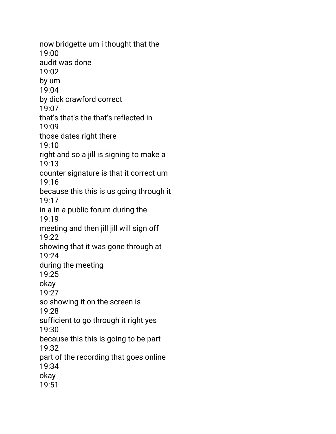now bridgette um i thought that the 19:00 audit was done 19:02 by um 19:04 by dick crawford correct 19:07 that's that's the that's reflected in 19:09 those dates right there 19:10 right and so a jill is signing to make a 19:13 counter signature is that it correct um 19:16 because this this is us going through it 19:17 in a in a public forum during the 19:19 meeting and then jill jill will sign off 19:22 showing that it was gone through at 19:24 during the meeting 19:25 okay 19:27 so showing it on the screen is 19:28 sufficient to go through it right yes 19:30 because this this is going to be part 19:32 part of the recording that goes online 19:34 okay 19:51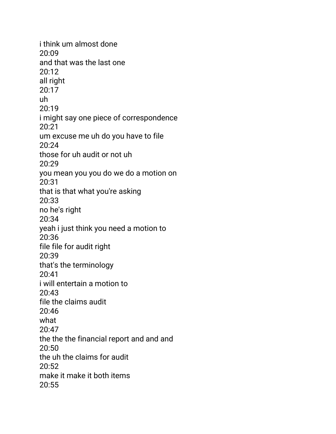i think um almost done 20:09 and that was the last one 20:12 all right 20:17 uh 20:19 i might say one piece of correspondence 20:21 um excuse me uh do you have to file 20:24 those for uh audit or not uh  $20.29$ you mean you you do we do a motion on 20:31 that is that what you're asking 20:33 no he's right 20:34 yeah i just think you need a motion to 20:36 file file for audit right 20:39 that's the terminology 20:41 i will entertain a motion to 20:43 file the claims audit 20:46 what 20:47 the the the financial report and and and 20:50 the uh the claims for audit  $20:52$ make it make it both items 20:55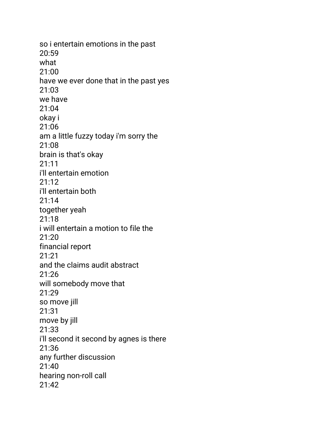so i entertain emotions in the past 20:59 what 21:00 have we ever done that in the past yes 21:03 we have 21:04 okay i 21:06 am a little fuzzy today i'm sorry the 21:08 brain is that's okay 21:11 i'll entertain emotion 21:12 i'll entertain both 21:14 together yeah 21:18 i will entertain a motion to file the 21:20 financial report 21:21 and the claims audit abstract 21:26 will somebody move that 21:29 so move jill 21:31 move by jill 21:33 i'll second it second by agnes is there 21:36 any further discussion 21:40 hearing non-roll call 21:42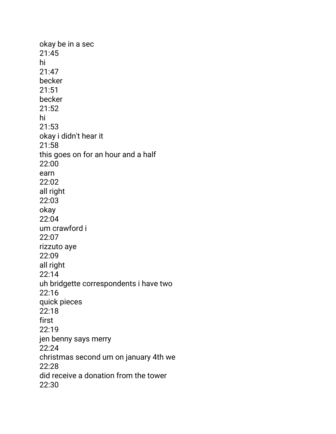okay be in a sec 21:45 hi 21:47 becker 21:51 becker 21:52 hi 21:53 okay i didn't hear it 21:58 this goes on for an hour and a half 22:00 earn 22:02 all right 22:03 okay 22:04 um crawford i 22:07 rizzuto aye 22:09 all right 22:14 uh bridgette correspondents i have two 22:16 quick pieces 22:18 first 22:19 jen benny says merry 22:24 christmas second um on january 4th we 22:28 did receive a donation from the tower 22:30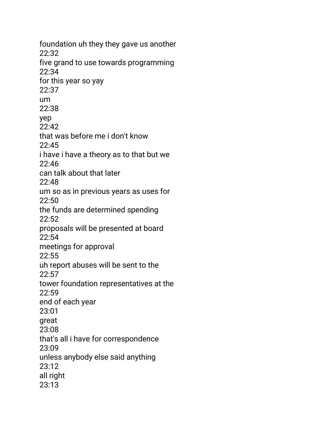foundation uh they they gave us another 22:32 five grand to use towards programming 22:34 for this year so yay 22:37 um 22:38 yep  $22:42$ that was before me i don't know 22:45 i have i have a theory as to that but we  $22.46$ can talk about that later 22:48 um so as in previous years as uses for 22:50 the funds are determined spending  $22:52$ proposals will be presented at board 22:54 meetings for approval 22:55 uh report abuses will be sent to the 22:57 tower foundation representatives at the 22:59 end of each year 23:01 great 23:08 that's all i have for correspondence 23:09 unless anybody else said anything 23:12 all right 23:13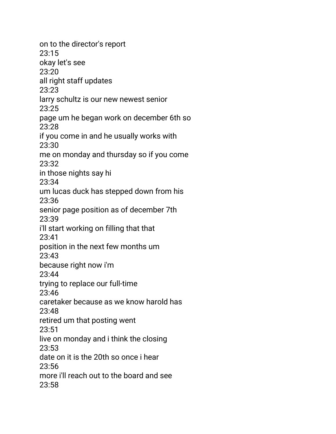on to the director's report 23:15 okay let's see 23:20 all right staff updates 23:23 larry schultz is our new newest senior 23:25 page um he began work on december 6th so 23:28 if you come in and he usually works with 23:30 me on monday and thursday so if you come 23:32 in those nights say hi 23:34 um lucas duck has stepped down from his 23:36 senior page position as of december 7th 23:39 i'll start working on filling that that 23:41 position in the next few months um 23:43 because right now i'm 23:44 trying to replace our full-time 23:46 caretaker because as we know harold has 23:48 retired um that posting went 23:51 live on monday and i think the closing 23:53 date on it is the 20th so once i hear 23:56 more i'll reach out to the board and see 23:58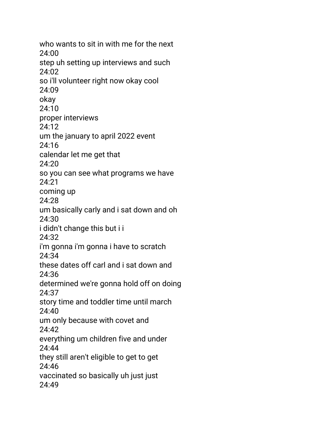who wants to sit in with me for the next 24:00 step uh setting up interviews and such 24:02 so i'll volunteer right now okay cool 24:09 okay 24:10 proper interviews 24:12 um the january to april 2022 event 24:16 calendar let me get that  $24.20$ so you can see what programs we have 24:21 coming up 24:28 um basically carly and i sat down and oh 24:30 i didn't change this but i i 24:32 i'm gonna i'm gonna i have to scratch 24:34 these dates off carl and i sat down and 24:36 determined we're gonna hold off on doing 24:37 story time and toddler time until march 24:40 um only because with covet and 24:42 everything um children five and under 24:44 they still aren't eligible to get to get 24:46 vaccinated so basically uh just just 24:49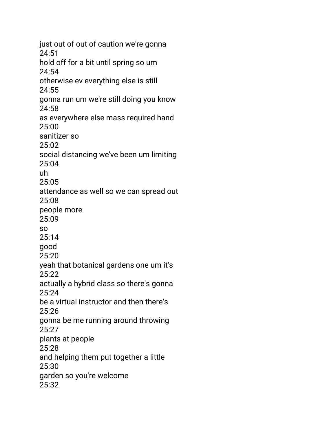just out of out of caution we're gonna 24:51 hold off for a bit until spring so um 24:54 otherwise ev everything else is still 24:55 gonna run um we're still doing you know 24:58 as everywhere else mass required hand 25:00 sanitizer so 25:02 social distancing we've been um limiting 25:04 uh 25:05 attendance as well so we can spread out 25:08 people more 25:09 so 25:14 good 25:20 yeah that botanical gardens one um it's 25:22 actually a hybrid class so there's gonna 25:24 be a virtual instructor and then there's 25:26 gonna be me running around throwing 25:27 plants at people 25:28 and helping them put together a little 25:30 garden so you're welcome 25:32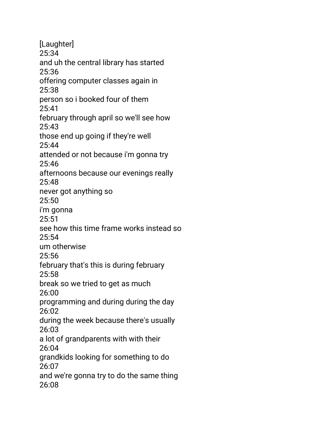[Laughter] 25:34 and uh the central library has started 25:36 offering computer classes again in 25:38 person so i booked four of them 25:41 february through april so we'll see how 25:43 those end up going if they're well 25:44 attended or not because i'm gonna try 25:46 afternoons because our evenings really 25:48 never got anything so 25:50 i'm gonna 25:51 see how this time frame works instead so  $25:54$ um otherwise 25:56 february that's this is during february 25:58 break so we tried to get as much 26:00 programming and during during the day 26:02 during the week because there's usually 26:03 a lot of grandparents with with their 26:04 grandkids looking for something to do 26:07 and we're gonna try to do the same thing 26:08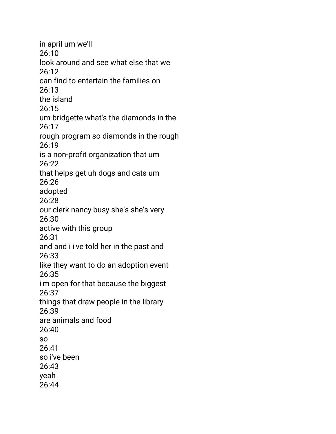in april um we'll 26:10 look around and see what else that we 26:12 can find to entertain the families on 26:13 the island 26:15 um bridgette what's the diamonds in the 26:17 rough program so diamonds in the rough 26:19 is a non-profit organization that um 26:22 that helps get uh dogs and cats um 26:26 adopted 26:28 our clerk nancy busy she's she's very 26:30 active with this group 26:31 and and i i've told her in the past and 26:33 like they want to do an adoption event 26:35 i'm open for that because the biggest 26:37 things that draw people in the library 26:39 are animals and food 26:40 so 26:41 so i've been 26:43 yeah 26:44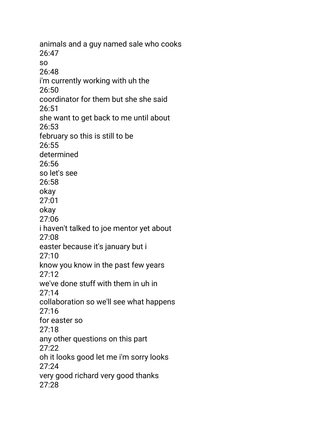animals and a guy named sale who cooks 26:47 so 26:48 i'm currently working with uh the 26:50 coordinator for them but she she said 26:51 she want to get back to me until about 26:53 february so this is still to be 26:55 determined 26:56 so let's see 26:58 okay 27:01 okay 27:06 i haven't talked to joe mentor yet about 27:08 easter because it's january but i 27:10 know you know in the past few years 27:12 we've done stuff with them in uh in 27:14 collaboration so we'll see what happens 27:16 for easter so 27:18 any other questions on this part  $27:22$ oh it looks good let me i'm sorry looks 27:24 very good richard very good thanks 27:28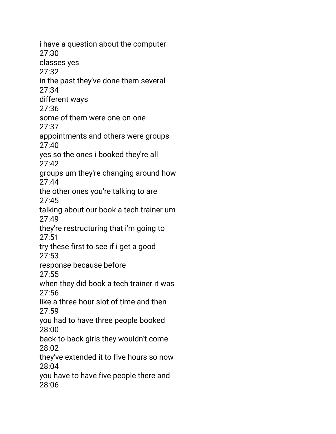i have a question about the computer 27:30 classes yes 27:32 in the past they've done them several 27:34 different ways 27:36 some of them were one-on-one 27:37 appointments and others were groups 27:40 yes so the ones i booked they're all  $27.42$ groups um they're changing around how 27:44 the other ones you're talking to are 27:45 talking about our book a tech trainer um 27:49 they're restructuring that i'm going to 27:51 try these first to see if i get a good 27:53 response because before 27:55 when they did book a tech trainer it was 27:56 like a three-hour slot of time and then 27:59 you had to have three people booked 28:00 back-to-back girls they wouldn't come 28:02 they've extended it to five hours so now 28:04 you have to have five people there and 28:06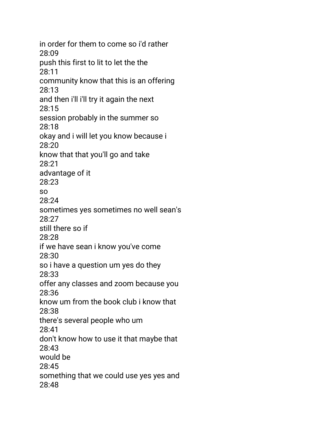in order for them to come so i'd rather 28:09 push this first to lit to let the the 28:11 community know that this is an offering 28:13 and then i'll i'll try it again the next 28:15 session probably in the summer so 28:18 okay and i will let you know because i 28:20 know that that you'll go and take 28:21 advantage of it 28:23 so 28:24 sometimes yes sometimes no well sean's 28:27 still there so if 28:28 if we have sean i know you've come 28:30 so i have a question um yes do they 28:33 offer any classes and zoom because you 28:36 know um from the book club i know that 28:38 there's several people who um 28:41 don't know how to use it that maybe that 28:43 would be 28:45 something that we could use yes yes and 28:48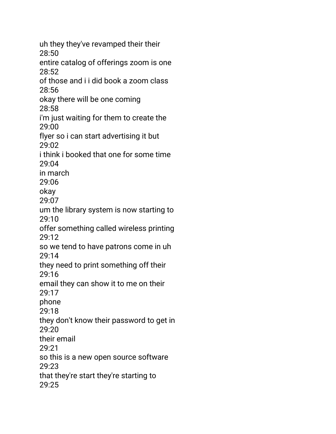uh they they've revamped their their 28:50 entire catalog of offerings zoom is one 28:52 of those and i i did book a zoom class 28:56 okay there will be one coming 28:58 i'm just waiting for them to create the 29:00 flyer so i can start advertising it but 29:02 i think i booked that one for some time 29:04 in march 29:06 okay 29:07 um the library system is now starting to 29:10 offer something called wireless printing 29:12 so we tend to have patrons come in uh 29:14 they need to print something off their 29:16 email they can show it to me on their 29:17 phone 29:18 they don't know their password to get in 29:20 their email 29:21 so this is a new open source software 29:23 that they're start they're starting to 29:25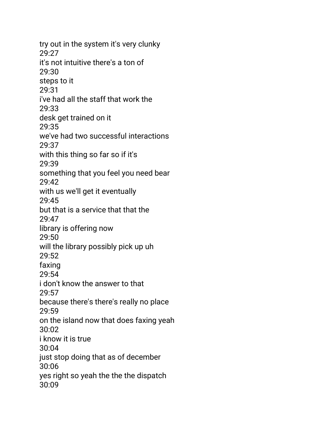try out in the system it's very clunky 29:27 it's not intuitive there's a ton of 29:30 steps to it 29:31 i've had all the staff that work the 29:33 desk get trained on it 29:35 we've had two successful interactions 29:37 with this thing so far so if it's 29:39 something that you feel you need bear 29:42 with us we'll get it eventually 29:45 but that is a service that that the 29:47 library is offering now 29:50 will the library possibly pick up uh 29:52 faxing 29:54 i don't know the answer to that 29:57 because there's there's really no place 29:59 on the island now that does faxing yeah 30:02 i know it is true 30:04 just stop doing that as of december 30:06 yes right so yeah the the the dispatch 30:09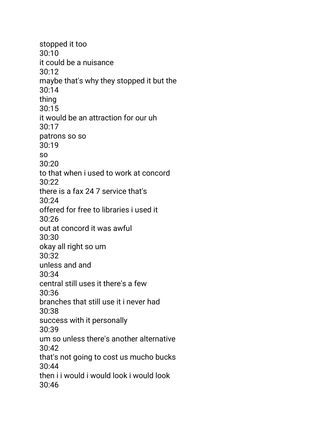stopped it too 30:10 it could be a nuisance 30:12 maybe that's why they stopped it but the 30:14 thing 30:15 it would be an attraction for our uh 30:17 patrons so so 30:19 so  $30.20$ to that when i used to work at concord  $30.22$ there is a fax 24 7 service that's 30:24 offered for free to libraries i used it 30:26 out at concord it was awful 30:30 okay all right so um 30:32 unless and and 30:34 central still uses it there's a few 30:36 branches that still use it i never had 30:38 success with it personally 30:39 um so unless there's another alternative 30:42 that's not going to cost us mucho bucks 30:44 then i i would i would look i would look 30:46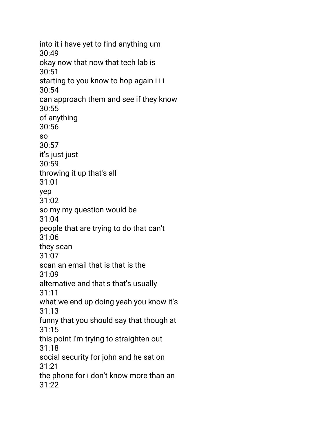into it i have yet to find anything um 30:49 okay now that now that tech lab is 30:51 starting to you know to hop again i i i 30:54 can approach them and see if they know 30:55 of anything 30:56 so 30:57 it's just just 30:59 throwing it up that's all 31:01 yep 31:02 so my my question would be 31:04 people that are trying to do that can't 31:06 they scan 31:07 scan an email that is that is the 31:09 alternative and that's that's usually 31:11 what we end up doing yeah you know it's 31:13 funny that you should say that though at 31:15 this point i'm trying to straighten out 31:18 social security for john and he sat on 31:21 the phone for i don't know more than an  $31:22$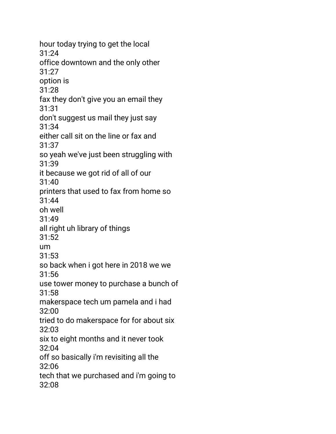hour today trying to get the local 31:24 office downtown and the only other 31:27 option is 31:28 fax they don't give you an email they 31:31 don't suggest us mail they just say 31:34 either call sit on the line or fax and 31:37 so yeah we've just been struggling with 31:39 it because we got rid of all of our 31:40 printers that used to fax from home so 31:44 oh well 31:49 all right uh library of things 31:52 um 31:53 so back when i got here in 2018 we we 31:56 use tower money to purchase a bunch of 31:58 makerspace tech um pamela and i had 32:00 tried to do makerspace for for about six 32:03 six to eight months and it never took 32:04 off so basically i'm revisiting all the 32:06 tech that we purchased and i'm going to 32:08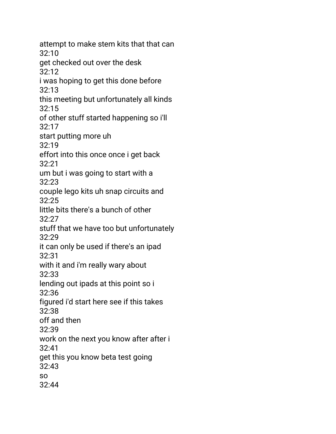attempt to make stem kits that that can 32:10 get checked out over the desk 32:12 i was hoping to get this done before 32:13 this meeting but unfortunately all kinds 32:15 of other stuff started happening so i'll 32:17 start putting more uh 32:19 effort into this once once i get back  $32.21$ um but i was going to start with a 32:23 couple lego kits uh snap circuits and 32:25 little bits there's a bunch of other 32:27 stuff that we have too but unfortunately 32:29 it can only be used if there's an ipad 32:31 with it and i'm really wary about 32:33 lending out ipads at this point so i 32:36 figured i'd start here see if this takes 32:38 off and then 32:39 work on the next you know after after i 32:41 get this you know beta test going 32:43 so 32:44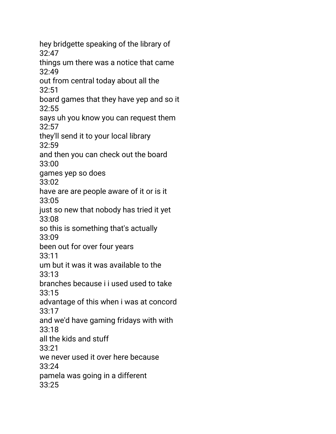hey bridgette speaking of the library of 32:47 things um there was a notice that came 32:49 out from central today about all the 32:51 board games that they have yep and so it 32:55 says uh you know you can request them 32:57 they'll send it to your local library 32:59 and then you can check out the board 33:00 games yep so does 33:02 have are are people aware of it or is it 33:05 just so new that nobody has tried it yet 33:08 so this is something that's actually 33:09 been out for over four years 33:11 um but it was it was available to the 33:13 branches because i i used used to take 33:15 advantage of this when i was at concord 33:17 and we'd have gaming fridays with with 33:18 all the kids and stuff 33:21 we never used it over here because 33:24 pamela was going in a different 33:25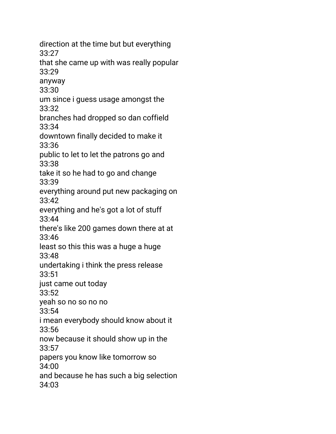direction at the time but but everything 33:27 that she came up with was really popular 33:29 anyway 33:30 um since i guess usage amongst the 33:32 branches had dropped so dan coffield 33:34 downtown finally decided to make it 33:36 public to let to let the patrons go and 33:38 take it so he had to go and change 33:39 everything around put new packaging on 33:42 everything and he's got a lot of stuff 33:44 there's like 200 games down there at at 33:46 least so this this was a huge a huge 33:48 undertaking i think the press release 33:51 just came out today 33:52 yeah so no so no no 33:54 i mean everybody should know about it 33:56 now because it should show up in the 33:57 papers you know like tomorrow so 34:00 and because he has such a big selection 34:03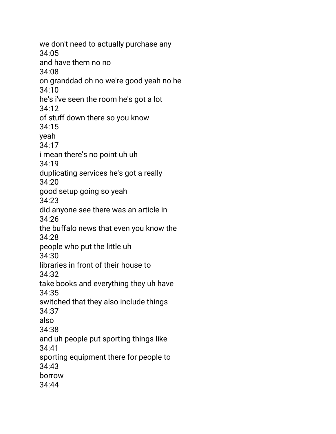we don't need to actually purchase any 34:05 and have them no no 34:08 on granddad oh no we're good yeah no he 34:10 he's i've seen the room he's got a lot 34:12 of stuff down there so you know 34:15 yeah 34:17 i mean there's no point uh uh 34:19 duplicating services he's got a really 34:20 good setup going so yeah 34:23 did anyone see there was an article in 34:26 the buffalo news that even you know the 34:28 people who put the little uh 34:30 libraries in front of their house to 34:32 take books and everything they uh have 34:35 switched that they also include things 34:37 also 34:38 and uh people put sporting things like 34:41 sporting equipment there for people to 34:43 borrow 34:44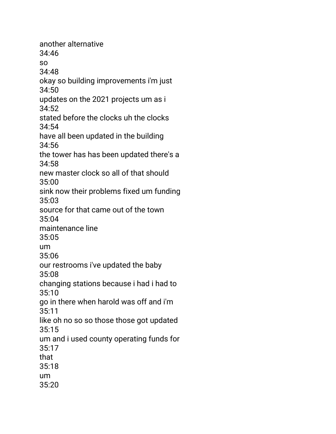another alternative 34:46 so 34:48 okay so building improvements i'm just 34:50 updates on the 2021 projects um as i 34:52 stated before the clocks uh the clocks 34:54 have all been updated in the building 34:56 the tower has has been updated there's a 34:58 new master clock so all of that should 35:00 sink now their problems fixed um funding 35:03 source for that came out of the town 35:04 maintenance line 35:05 um 35:06 our restrooms i've updated the baby 35:08 changing stations because i had i had to 35:10 go in there when harold was off and i'm 35:11 like oh no so so those those got updated 35:15 um and i used county operating funds for 35:17 that 35:18 um 35:20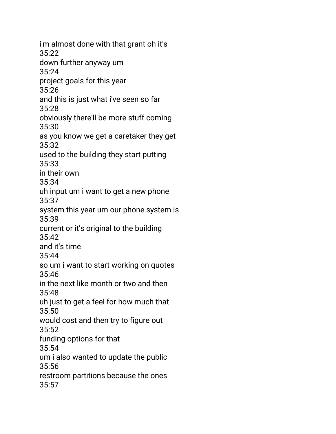i'm almost done with that grant oh it's 35:22 down further anyway um 35:24 project goals for this year 35:26 and this is just what i've seen so far 35:28 obviously there'll be more stuff coming 35:30 as you know we get a caretaker they get 35:32 used to the building they start putting 35:33 in their own 35:34 uh input um i want to get a new phone 35:37 system this year um our phone system is 35:39 current or it's original to the building 35:42 and it's time 35:44 so um i want to start working on quotes 35:46 in the next like month or two and then 35:48 uh just to get a feel for how much that 35:50 would cost and then try to figure out 35:52 funding options for that 35:54 um i also wanted to update the public 35:56 restroom partitions because the ones 35:57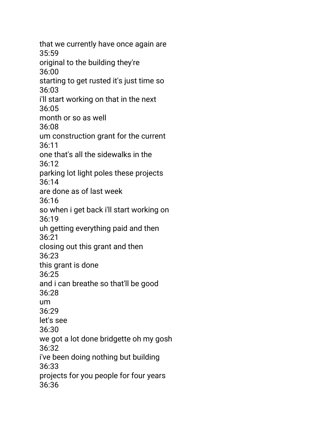that we currently have once again are 35:59 original to the building they're 36:00 starting to get rusted it's just time so 36:03 i'll start working on that in the next 36:05 month or so as well 36:08 um construction grant for the current 36:11 one that's all the sidewalks in the 36:12 parking lot light poles these projects 36:14 are done as of last week 36:16 so when i get back i'll start working on 36:19 uh getting everything paid and then 36:21 closing out this grant and then 36:23 this grant is done 36:25 and i can breathe so that'll be good 36:28 um 36:29 let's see 36:30 we got a lot done bridgette oh my gosh 36:32 i've been doing nothing but building 36:33 projects for you people for four years 36:36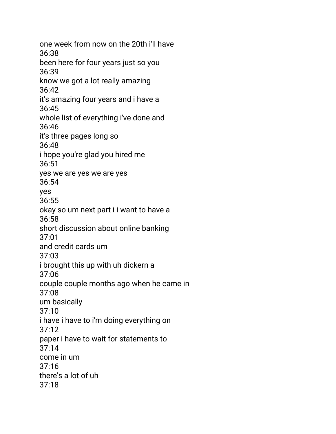one week from now on the 20th i'll have 36:38 been here for four years just so you 36:39 know we got a lot really amazing 36:42 it's amazing four years and i have a 36:45 whole list of everything i've done and 36:46 it's three pages long so 36:48 i hope you're glad you hired me 36:51 yes we are yes we are yes 36:54 yes 36:55 okay so um next part i i want to have a 36:58 short discussion about online banking 37:01 and credit cards um 37:03 i brought this up with uh dickern a 37:06 couple couple months ago when he came in 37:08 um basically 37:10 i have i have to i'm doing everything on 37:12 paper i have to wait for statements to 37:14 come in um  $37:16$ there's a lot of uh 37:18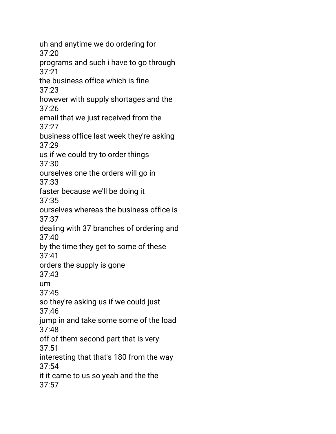uh and anytime we do ordering for 37:20 programs and such i have to go through 37:21 the business office which is fine 37:23 however with supply shortages and the 37:26 email that we just received from the 37:27 business office last week they're asking 37:29 us if we could try to order things 37:30 ourselves one the orders will go in 37:33 faster because we'll be doing it 37:35 ourselves whereas the business office is 37:37 dealing with 37 branches of ordering and 37:40 by the time they get to some of these 37:41 orders the supply is gone 37:43 um 37:45 so they're asking us if we could just 37:46 jump in and take some some of the load 37:48 off of them second part that is very 37:51 interesting that that's 180 from the way 37:54 it it came to us so yeah and the the 37:57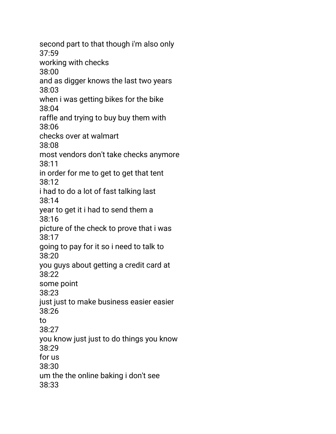second part to that though i'm also only 37:59 working with checks 38:00 and as digger knows the last two years 38:03 when i was getting bikes for the bike 38:04 raffle and trying to buy buy them with 38:06 checks over at walmart 38:08 most vendors don't take checks anymore 38:11 in order for me to get to get that tent 38:12 i had to do a lot of fast talking last 38:14 year to get it i had to send them a 38:16 picture of the check to prove that i was 38:17 going to pay for it so i need to talk to 38:20 you guys about getting a credit card at 38:22 some point 38:23 just just to make business easier easier 38:26 to 38:27 you know just just to do things you know 38:29 for us 38:30 um the the online baking i don't see 38:33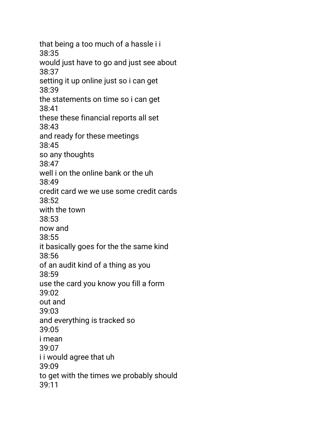that being a too much of a hassle i i 38:35 would just have to go and just see about 38:37 setting it up online just so i can get 38:39 the statements on time so i can get 38:41 these these financial reports all set 38:43 and ready for these meetings 38:45 so any thoughts 38:47 well i on the online bank or the uh 38:49 credit card we we use some credit cards 38:52 with the town 38:53 now and 38:55 it basically goes for the the same kind 38:56 of an audit kind of a thing as you 38:59 use the card you know you fill a form 39:02 out and 39:03 and everything is tracked so 39:05 i mean 39:07 i i would agree that uh 39:09 to get with the times we probably should 39:11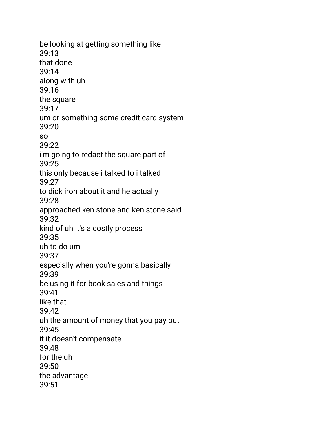be looking at getting something like 39:13 that done 39:14 along with uh 39:16 the square 39:17 um or something some credit card system 39:20 so 39:22 i'm going to redact the square part of 39:25 this only because i talked to i talked 39:27 to dick iron about it and he actually 39:28 approached ken stone and ken stone said 39:32 kind of uh it's a costly process 39:35 uh to do um 39:37 especially when you're gonna basically 39:39 be using it for book sales and things 39:41 like that 39:42 uh the amount of money that you pay out 39:45 it it doesn't compensate 39:48 for the uh 39:50 the advantage 39:51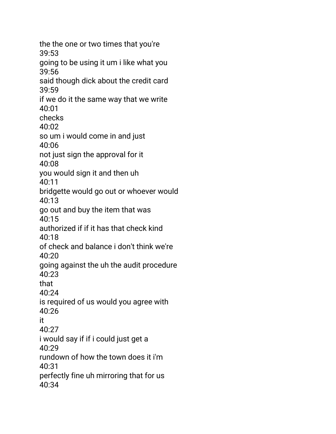the the one or two times that you're 39:53 going to be using it um i like what you 39:56 said though dick about the credit card 39:59 if we do it the same way that we write 40:01 checks 40:02 so um i would come in and just 40:06 not just sign the approval for it 40:08 you would sign it and then uh 40:11 bridgette would go out or whoever would 40:13 go out and buy the item that was  $40:15$ authorized if if it has that check kind  $40.18$ of check and balance i don't think we're 40:20 going against the uh the audit procedure 40:23 that 40:24 is required of us would you agree with 40:26 it 40:27 i would say if if i could just get a 40:29 rundown of how the town does it i'm 40:31 perfectly fine uh mirroring that for us 40:34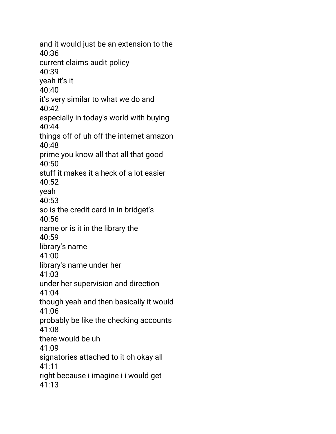and it would just be an extension to the 40:36 current claims audit policy 40:39 yeah it's it 40:40 it's very similar to what we do and 40:42 especially in today's world with buying 40:44 things off of uh off the internet amazon 40:48 prime you know all that all that good 40:50 stuff it makes it a heck of a lot easier  $40.52$ yeah 40:53 so is the credit card in in bridget's  $40:56$ name or is it in the library the 40:59 library's name 41:00 library's name under her 41:03 under her supervision and direction 41:04 though yeah and then basically it would 41:06 probably be like the checking accounts 41:08 there would be uh 41:09 signatories attached to it oh okay all 41:11 right because i imagine i i would get 41:13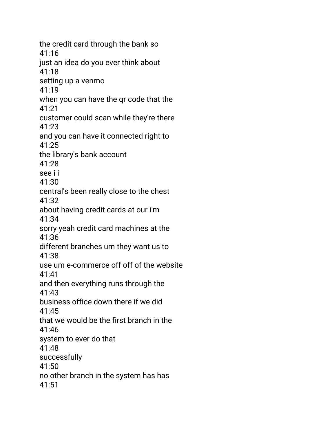the credit card through the bank so 41:16 just an idea do you ever think about 41:18 setting up a venmo 41:19 when you can have the qr code that the 41:21 customer could scan while they're there 41:23 and you can have it connected right to 41:25 the library's bank account 41:28 see i i 41:30 central's been really close to the chest 41:32 about having credit cards at our i'm 41:34 sorry yeah credit card machines at the 41:36 different branches um they want us to 41:38 use um e-commerce off off of the website 41:41 and then everything runs through the 41:43 business office down there if we did 41:45 that we would be the first branch in the 41:46 system to ever do that 41:48 successfully 41:50 no other branch in the system has has 41:51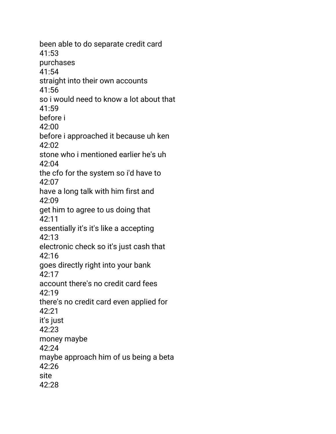been able to do separate credit card 41:53 purchases 41:54 straight into their own accounts 41:56 so i would need to know a lot about that 41:59 before i 42:00 before i approached it because uh ken 42:02 stone who i mentioned earlier he's uh 42:04 the cfo for the system so i'd have to 42:07 have a long talk with him first and 42:09 get him to agree to us doing that 42:11 essentially it's it's like a accepting 42:13 electronic check so it's just cash that 42:16 goes directly right into your bank 42:17 account there's no credit card fees 42:19 there's no credit card even applied for 42:21 it's just 42:23 money maybe 42:24 maybe approach him of us being a beta  $42.26$ site 42:28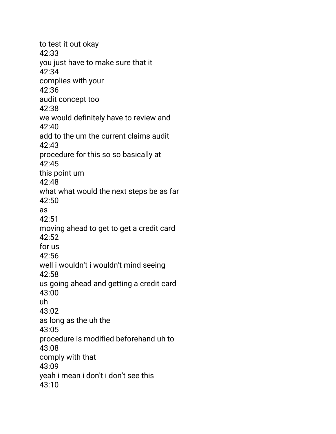to test it out okay 42:33 you just have to make sure that it 42:34 complies with your 42:36 audit concept too 42:38 we would definitely have to review and 42:40 add to the um the current claims audit 42:43 procedure for this so so basically at  $42.45$ this point um 42:48 what what would the next steps be as far 42:50 as 42:51 moving ahead to get to get a credit card 42:52 for us 42:56 well i wouldn't i wouldn't mind seeing 42:58 us going ahead and getting a credit card 43:00 uh 43:02 as long as the uh the 43:05 procedure is modified beforehand uh to 43:08 comply with that 43:09 yeah i mean i don't i don't see this 43:10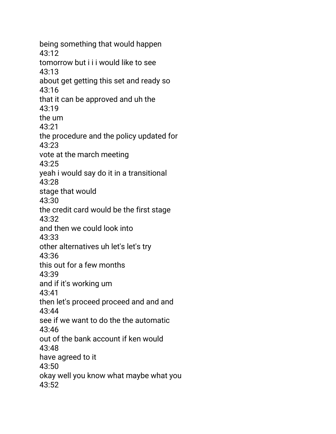being something that would happen 43:12 tomorrow but i i i would like to see 43:13 about get getting this set and ready so 43:16 that it can be approved and uh the 43:19 the um 43:21 the procedure and the policy updated for 43:23 vote at the march meeting 43:25 yeah i would say do it in a transitional 43:28 stage that would 43:30 the credit card would be the first stage 43:32 and then we could look into 43:33 other alternatives uh let's let's try 43:36 this out for a few months 43:39 and if it's working um 43:41 then let's proceed proceed and and and 43:44 see if we want to do the the automatic 43:46 out of the bank account if ken would 43:48 have agreed to it 43:50 okay well you know what maybe what you 43:52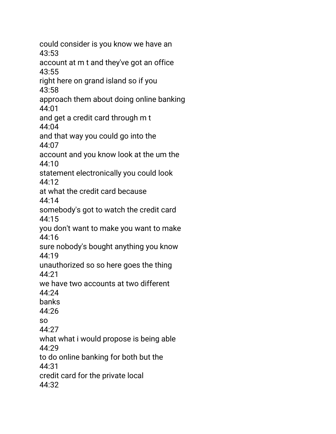could consider is you know we have an 43:53 account at m t and they've got an office 43:55 right here on grand island so if you 43:58 approach them about doing online banking 44:01 and get a credit card through m t 44:04 and that way you could go into the 44:07 account and you know look at the um the  $44.10$ statement electronically you could look 44:12 at what the credit card because 44:14 somebody's got to watch the credit card 44:15 you don't want to make you want to make 44:16 sure nobody's bought anything you know 44:19 unauthorized so so here goes the thing 44:21 we have two accounts at two different 44:24 banks 44:26 so 44:27 what what i would propose is being able 44:29 to do online banking for both but the 44:31 credit card for the private local 44:32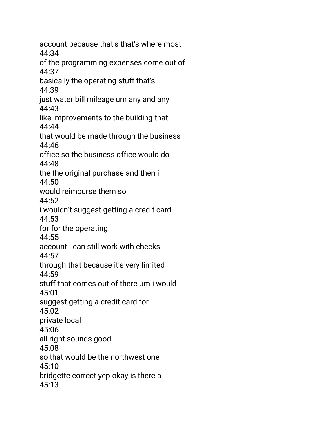account because that's that's where most 44:34 of the programming expenses come out of 44:37 basically the operating stuff that's 44:39 just water bill mileage um any and any 44:43 like improvements to the building that 44:44 that would be made through the business 44:46 office so the business office would do 44:48 the the original purchase and then i  $44:50$ would reimburse them so 44:52 i wouldn't suggest getting a credit card 44:53 for for the operating  $44.55$ account i can still work with checks 44:57 through that because it's very limited 44:59 stuff that comes out of there um i would 45:01 suggest getting a credit card for 45:02 private local 45:06 all right sounds good 45:08 so that would be the northwest one 45:10 bridgette correct yep okay is there a 45:13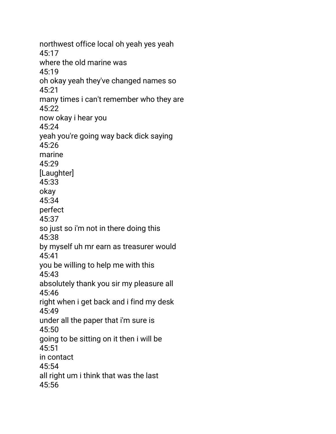northwest office local oh yeah yes yeah 45:17 where the old marine was 45:19 oh okay yeah they've changed names so 45:21 many times i can't remember who they are 45:22 now okay i hear you 45:24 yeah you're going way back dick saying 45:26 marine 45:29 [Laughter] 45:33 okay 45:34 perfect 45:37 so just so i'm not in there doing this 45:38 by myself uh mr earn as treasurer would 45:41 you be willing to help me with this 45:43 absolutely thank you sir my pleasure all 45:46 right when i get back and i find my desk 45:49 under all the paper that i'm sure is 45:50 going to be sitting on it then i will be 45:51 in contact 45:54 all right um i think that was the last 45:56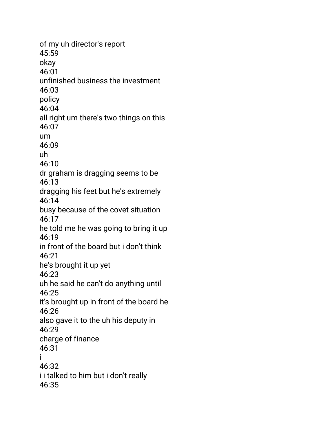of my uh director's report 45:59 okay 46:01 unfinished business the investment 46:03 policy 46:04 all right um there's two things on this 46:07 um 46:09 uh  $46.10$ dr graham is dragging seems to be 46:13 dragging his feet but he's extremely 46:14 busy because of the covet situation 46:17 he told me he was going to bring it up 46:19 in front of the board but i don't think 46:21 he's brought it up yet 46:23 uh he said he can't do anything until 46:25 it's brought up in front of the board he 46:26 also gave it to the uh his deputy in 46:29 charge of finance 46:31 i 46:32 i i talked to him but i don't really 46:35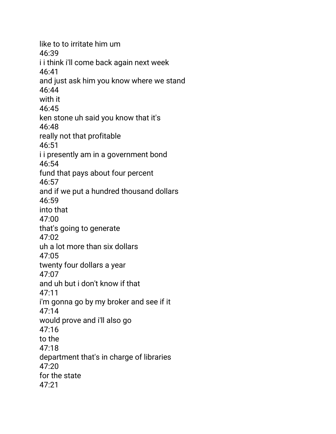like to to irritate him um 46:39 i i think i'll come back again next week 46:41 and just ask him you know where we stand 46:44 with it 46:45 ken stone uh said you know that it's 46:48 really not that profitable 46:51 i i presently am in a government bond 46:54 fund that pays about four percent 46:57 and if we put a hundred thousand dollars 46:59 into that 47:00 that's going to generate 47:02 uh a lot more than six dollars 47:05 twenty four dollars a year 47:07 and uh but i don't know if that 47:11 i'm gonna go by my broker and see if it 47:14 would prove and i'll also go 47:16 to the 47:18 department that's in charge of libraries  $47:20$ for the state 47:21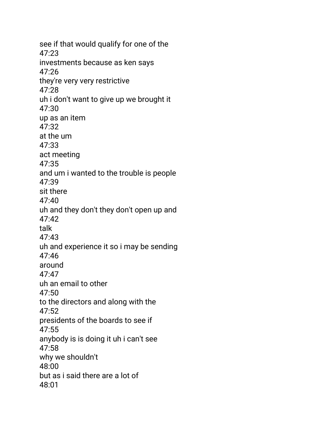see if that would qualify for one of the 47:23 investments because as ken says 47:26 they're very very restrictive 47:28 uh i don't want to give up we brought it 47:30 up as an item 47:32 at the um 47:33 act meeting 47:35 and um i wanted to the trouble is people 47:39 sit there 47:40 uh and they don't they don't open up and 47:42 talk 47:43 uh and experience it so i may be sending 47:46 around 47:47 uh an email to other 47:50 to the directors and along with the 47:52 presidents of the boards to see if 47:55 anybody is is doing it uh i can't see 47:58 why we shouldn't 48:00 but as i said there are a lot of 48:01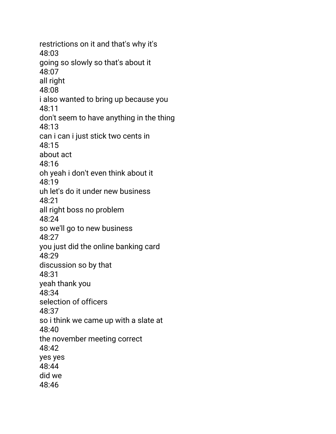restrictions on it and that's why it's 48:03 going so slowly so that's about it 48:07 all right 48:08 i also wanted to bring up because you 48:11 don't seem to have anything in the thing 48:13 can i can i just stick two cents in 48:15 about act 48:16 oh yeah i don't even think about it 48:19 uh let's do it under new business 48:21 all right boss no problem 48:24 so we'll go to new business 48:27 you just did the online banking card 48:29 discussion so by that 48:31 yeah thank you 48:34 selection of officers 48:37 so i think we came up with a slate at 48:40 the november meeting correct 48:42 yes yes 48:44 did we 48:46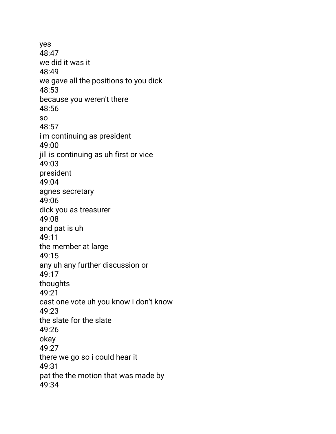yes 48:47 we did it was it 48:49 we gave all the positions to you dick 48:53 because you weren't there 48:56 so 48:57 i'm continuing as president 49:00 jill is continuing as uh first or vice 49:03 president 49:04 agnes secretary 49:06 dick you as treasurer 49:08 and pat is uh 49:11 the member at large 49:15 any uh any further discussion or 49:17 thoughts 49:21 cast one vote uh you know i don't know 49:23 the slate for the slate 49:26 okay 49:27 there we go so i could hear it 49:31 pat the the motion that was made by 49:34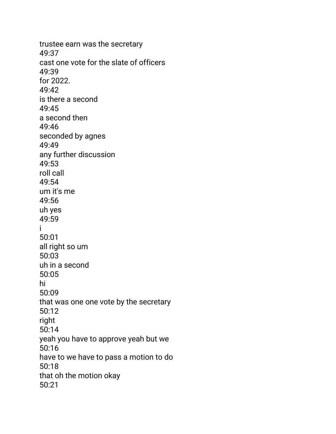trustee earn was the secretary 49:37 cast one vote for the slate of officers 49:39 for 2022. 49:42 is there a second 49:45 a second then 49:46 seconded by agnes 49:49 any further discussion 49:53 roll call  $49.54$ um it's me 49:56 uh yes 49:59 i 50:01 all right so um 50:03 uh in a second 50:05 hi 50:09 that was one one vote by the secretary 50:12 right 50:14 yeah you have to approve yeah but we 50:16 have to we have to pass a motion to do 50:18 that oh the motion okay 50:21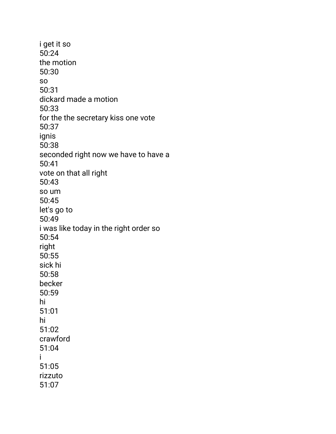i get it so 50:24 the motion 50:30 so 50:31 dickard made a motion 50:33 for the the secretary kiss one vote 50:37 ignis 50:38 seconded right now we have to have a 50:41 vote on that all right 50:43 so um 50:45 let's go to 50:49 i was like today in the right order so 50:54 right 50:55 sick hi 50:58 becker 50:59 hi 51:01 hi 51:02 crawford 51:04 i 51:05 rizzuto 51:07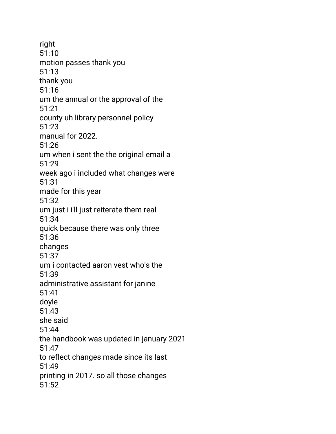right 51:10 motion passes thank you 51:13 thank you 51:16 um the annual or the approval of the 51:21 county uh library personnel policy 51:23 manual for 2022. 51:26 um when i sent the the original email a 51:29 week ago i included what changes were 51:31 made for this year 51:32 um just i i'll just reiterate them real 51:34 quick because there was only three 51:36 changes 51:37 um i contacted aaron vest who's the 51:39 administrative assistant for janine 51:41 doyle 51:43 she said 51:44 the handbook was updated in january 2021 51:47 to reflect changes made since its last 51:49 printing in 2017. so all those changes 51:52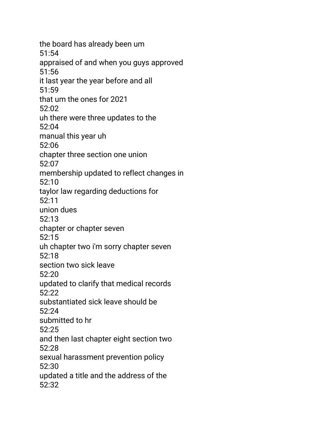the board has already been um 51:54 appraised of and when you guys approved 51:56 it last year the year before and all 51:59 that um the ones for 2021 52:02 uh there were three updates to the 52:04 manual this year uh 52:06 chapter three section one union  $52.07$ membership updated to reflect changes in 52:10 taylor law regarding deductions for 52:11 union dues 52:13 chapter or chapter seven 52:15 uh chapter two i'm sorry chapter seven 52:18 section two sick leave 52:20 updated to clarify that medical records 52:22 substantiated sick leave should be 52:24 submitted to hr 52:25 and then last chapter eight section two 52:28 sexual harassment prevention policy 52:30 updated a title and the address of the 52:32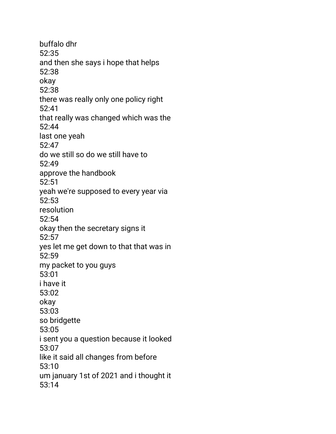buffalo dhr 52:35 and then she says i hope that helps 52:38 okay 52:38 there was really only one policy right 52:41 that really was changed which was the 52:44 last one yeah 52:47 do we still so do we still have to  $52.49$ approve the handbook 52:51 yeah we're supposed to every year via 52:53 resolution 52:54 okay then the secretary signs it 52:57 yes let me get down to that that was in 52:59 my packet to you guys 53:01 i have it 53:02 okay 53:03 so bridgette 53:05 i sent you a question because it looked 53:07 like it said all changes from before 53:10 um january 1st of 2021 and i thought it 53:14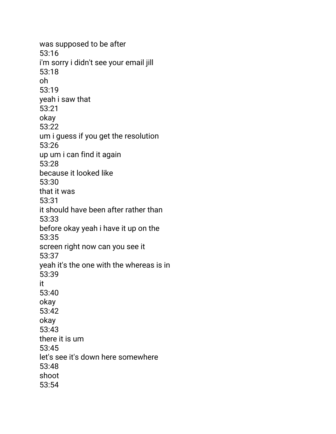was supposed to be after 53:16 i'm sorry i didn't see your email jill 53:18 oh 53:19 yeah i saw that 53:21 okay 53:22 um i guess if you get the resolution 53:26 up um i can find it again 53:28 because it looked like 53:30 that it was 53:31 it should have been after rather than 53:33 before okay yeah i have it up on the 53:35 screen right now can you see it 53:37 yeah it's the one with the whereas is in 53:39 it 53:40 okay 53:42 okay 53:43 there it is um 53:45 let's see it's down here somewhere 53:48 shoot 53:54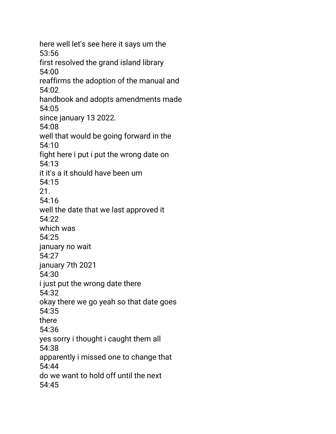here well let's see here it says um the 53:56 first resolved the grand island library 54:00 reaffirms the adoption of the manual and 54:02 handbook and adopts amendments made 54:05 since january 13 2022. 54:08 well that would be going forward in the 54:10 fight here i put i put the wrong date on 54:13 it it's a it should have been um 54:15 21. 54:16 well the date that we last approved it 54:22 which was 54:25 january no wait 54:27 january 7th 2021 54:30 i just put the wrong date there 54:32 okay there we go yeah so that date goes 54:35 there 54:36 yes sorry i thought i caught them all 54:38 apparently i missed one to change that 54:44 do we want to hold off until the next 54:45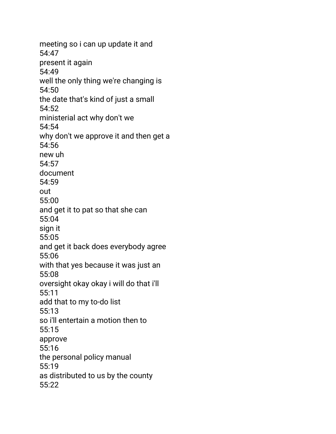meeting so i can up update it and 54:47 present it again 54:49 well the only thing we're changing is 54:50 the date that's kind of just a small 54:52 ministerial act why don't we 54:54 why don't we approve it and then get a 54:56 new uh 54:57 document 54:59 out 55:00 and get it to pat so that she can 55:04 sign it 55:05 and get it back does everybody agree 55:06 with that yes because it was just an 55:08 oversight okay okay i will do that i'll 55:11 add that to my to-do list 55:13 so i'll entertain a motion then to 55:15 approve 55:16 the personal policy manual 55:19 as distributed to us by the county 55:22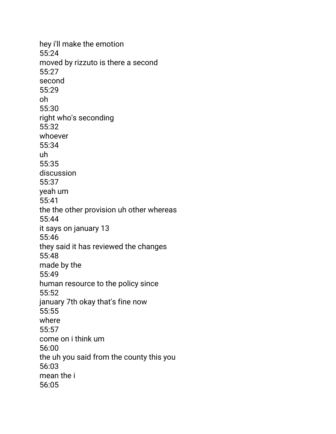hey i'll make the emotion 55:24 moved by rizzuto is there a second 55:27 second 55:29 oh 55:30 right who's seconding 55:32 whoever 55:34 uh 55:35 discussion 55:37 yeah um 55:41 the the other provision uh other whereas 55:44 it says on january 13 55:46 they said it has reviewed the changes 55:48 made by the 55:49 human resource to the policy since 55:52 january 7th okay that's fine now 55:55 where 55:57 come on i think um 56:00 the uh you said from the county this you 56:03 mean the i 56:05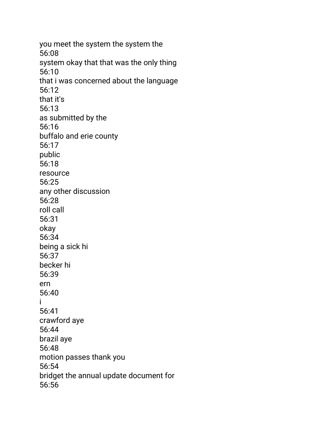you meet the system the system the 56:08 system okay that that was the only thing 56:10 that i was concerned about the language 56:12 that it's 56:13 as submitted by the 56:16 buffalo and erie county 56:17 public 56:18 resource 56:25 any other discussion 56:28 roll call 56:31 okay 56:34 being a sick hi 56:37 becker hi 56:39 ern 56:40 i 56:41 crawford aye 56:44 brazil aye 56:48 motion passes thank you 56:54 bridget the annual update document for 56:56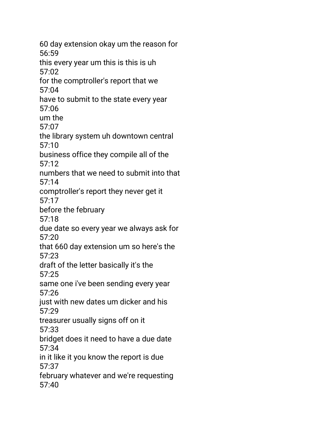60 day extension okay um the reason for 56:59 this every year um this is this is uh 57:02 for the comptroller's report that we 57:04 have to submit to the state every year 57:06 um the 57:07 the library system uh downtown central 57:10 business office they compile all of the  $57.12$ numbers that we need to submit into that 57:14 comptroller's report they never get it 57:17 before the february 57:18 due date so every year we always ask for 57:20 that 660 day extension um so here's the 57:23 draft of the letter basically it's the 57:25 same one i've been sending every year 57:26 just with new dates um dicker and his 57:29 treasurer usually signs off on it 57:33 bridget does it need to have a due date 57:34 in it like it you know the report is due 57:37 february whatever and we're requesting 57:40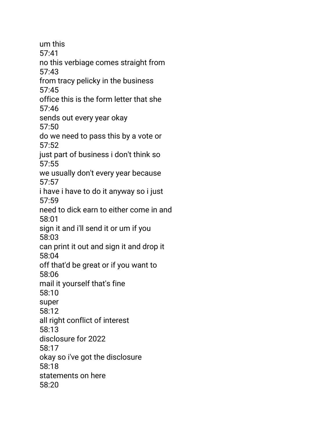um this 57:41 no this verbiage comes straight from 57:43 from tracy pelicky in the business 57:45 office this is the form letter that she 57:46 sends out every year okay 57:50 do we need to pass this by a vote or 57:52 just part of business i don't think so 57:55 we usually don't every year because 57:57 i have i have to do it anyway so i just 57:59 need to dick earn to either come in and 58:01 sign it and i'll send it or um if you 58:03 can print it out and sign it and drop it 58:04 off that'd be great or if you want to 58:06 mail it yourself that's fine 58:10 super 58:12 all right conflict of interest 58:13 disclosure for 2022 58:17 okay so i've got the disclosure 58:18 statements on here 58:20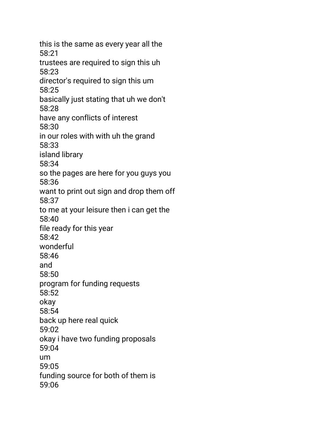this is the same as every year all the 58:21 trustees are required to sign this uh 58:23 director's required to sign this um 58:25 basically just stating that uh we don't 58:28 have any conflicts of interest 58:30 in our roles with with uh the grand 58:33 island library 58:34 so the pages are here for you guys you 58:36 want to print out sign and drop them off 58:37 to me at your leisure then i can get the 58:40 file ready for this year 58:42 wonderful 58:46 and 58:50 program for funding requests 58:52 okay 58:54 back up here real quick 59:02 okay i have two funding proposals 59:04 um 59:05 funding source for both of them is 59:06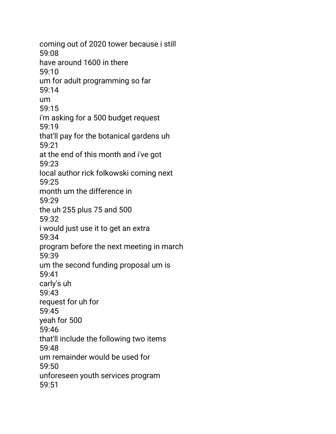coming out of 2020 tower because i still 59:08 have around 1600 in there 59:10 um for adult programming so far 59:14 um 59:15 i'm asking for a 500 budget request 59:19 that'll pay for the botanical gardens uh 59:21 at the end of this month and i've got 59:23 local author rick folkowski coming next 59:25 month um the difference in 59:29 the uh 255 plus 75 and 500 59:32 i would just use it to get an extra 59:34 program before the next meeting in march 59:39 um the second funding proposal um is 59:41 carly's uh 59:43 request for uh for 59:45 yeah for 500 59:46 that'll include the following two items 59:48 um remainder would be used for 59:50 unforeseen youth services program 59:51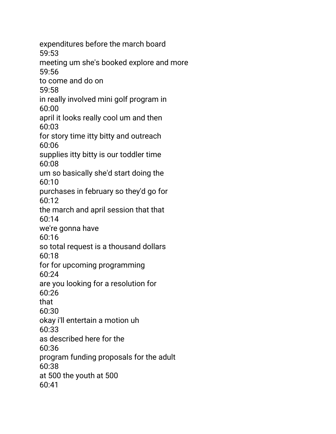expenditures before the march board 59:53 meeting um she's booked explore and more 59:56 to come and do on 59:58 in really involved mini golf program in 60:00 april it looks really cool um and then 60:03 for story time itty bitty and outreach 60:06 supplies itty bitty is our toddler time 60:08 um so basically she'd start doing the 60:10 purchases in february so they'd go for 60:12 the march and april session that that 60:14 we're gonna have 60:16 so total request is a thousand dollars 60:18 for for upcoming programming 60:24 are you looking for a resolution for 60:26 that 60:30 okay i'll entertain a motion uh 60:33 as described here for the 60:36 program funding proposals for the adult 60:38 at 500 the youth at 500 60:41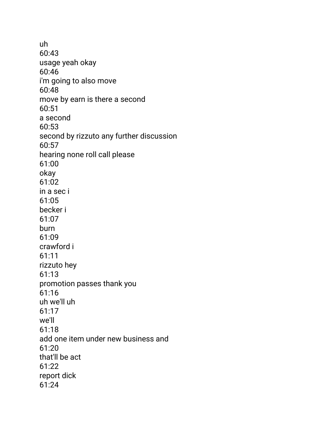uh 60:43 usage yeah okay 60:46 i'm going to also move 60:48 move by earn is there a second 60:51 a second 60:53 second by rizzuto any further discussion 60:57 hearing none roll call please 61:00 okay 61:02 in a sec i 61:05 becker i 61:07 burn 61:09 crawford i 61:11 rizzuto hey 61:13 promotion passes thank you 61:16 uh we'll uh 61:17 we'll 61:18 add one item under new business and 61:20 that'll be act 61:22 report dick 61:24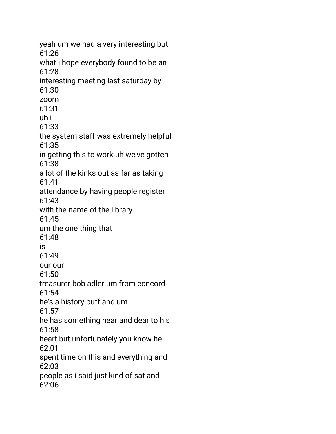yeah um we had a very interesting but 61:26 what i hope everybody found to be an 61:28 interesting meeting last saturday by 61:30 zoom 61:31 uh i 61:33 the system staff was extremely helpful 61:35 in getting this to work uh we've gotten 61:38 a lot of the kinks out as far as taking 61:41 attendance by having people register 61:43 with the name of the library 61:45 um the one thing that 61:48 is 61:49 our our 61:50 treasurer bob adler um from concord 61:54 he's a history buff and um 61:57 he has something near and dear to his 61:58 heart but unfortunately you know he 62:01 spent time on this and everything and 62:03 people as i said just kind of sat and 62:06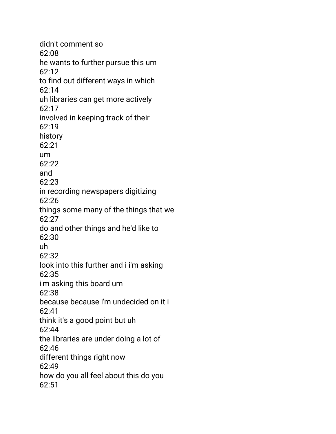didn't comment so 62:08 he wants to further pursue this um 62:12 to find out different ways in which 62:14 uh libraries can get more actively 62:17 involved in keeping track of their 62:19 history 62:21 um  $62.22$ and 62:23 in recording newspapers digitizing 62:26 things some many of the things that we 62:27 do and other things and he'd like to 62:30 uh 62:32 look into this further and i i'm asking 62:35 i'm asking this board um 62:38 because because i'm undecided on it i 62:41 think it's a good point but uh 62:44 the libraries are under doing a lot of 62:46 different things right now 62:49 how do you all feel about this do you 62:51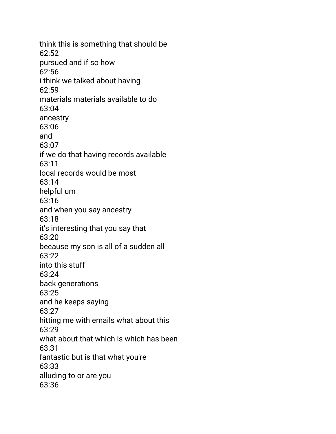think this is something that should be 62:52 pursued and if so how 62:56 i think we talked about having 62:59 materials materials available to do 63:04 ancestry 63:06 and 63:07 if we do that having records available 63:11 local records would be most 63:14 helpful um 63:16 and when you say ancestry 63:18 it's interesting that you say that 63:20 because my son is all of a sudden all 63:22 into this stuff 63:24 back generations 63:25 and he keeps saying 63:27 hitting me with emails what about this 63:29 what about that which is which has been 63:31 fantastic but is that what you're 63:33 alluding to or are you 63:36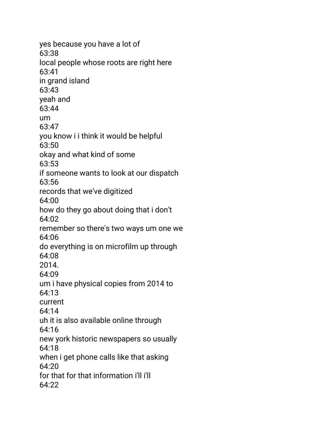yes because you have a lot of 63:38 local people whose roots are right here 63:41 in grand island 63:43 yeah and 63:44 um 63:47 you know i i think it would be helpful 63:50 okay and what kind of some 63:53 if someone wants to look at our dispatch 63:56 records that we've digitized 64:00 how do they go about doing that i don't 64:02 remember so there's two ways um one we 64:06 do everything is on microfilm up through 64:08 2014. 64:09 um i have physical copies from 2014 to 64:13 current 64:14 uh it is also available online through 64:16 new york historic newspapers so usually 64:18 when i get phone calls like that asking  $64.20$ for that for that information i'll i'll  $64.22$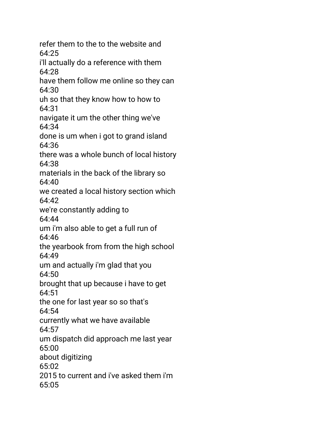refer them to the to the website and 64:25 i'll actually do a reference with them 64:28 have them follow me online so they can 64:30 uh so that they know how to how to 64:31 navigate it um the other thing we've 64:34 done is um when i got to grand island 64:36 there was a whole bunch of local history 64:38 materials in the back of the library so  $64.40$ we created a local history section which 64:42 we're constantly adding to 64:44 um i'm also able to get a full run of 64:46 the yearbook from from the high school 64:49 um and actually i'm glad that you 64:50 brought that up because i have to get 64:51 the one for last year so so that's 64:54 currently what we have available 64:57 um dispatch did approach me last year 65:00 about digitizing  $65:02$ 2015 to current and i've asked them i'm 65:05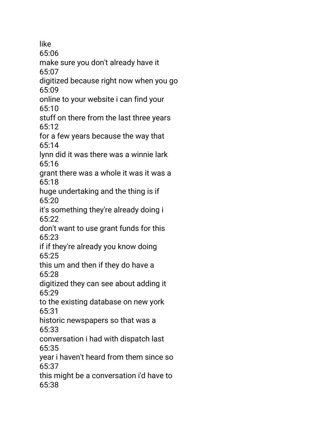like 65:06 make sure you don't already have it 65:07 digitized because right now when you go 65:09 online to your website i can find your 65:10 stuff on there from the last three years 65:12 for a few years because the way that 65:14 lynn did it was there was a winnie lark  $65.16$ grant there was a whole it was it was a 65:18 huge undertaking and the thing is if 65:20 it's something they're already doing i 65:22 don't want to use grant funds for this 65:23 if if they're already you know doing 65:25 this um and then if they do have a 65:28 digitized they can see about adding it 65:29 to the existing database on new york 65:31 historic newspapers so that was a 65:33 conversation i had with dispatch last 65:35 year i haven't heard from them since so 65:37 this might be a conversation i'd have to 65:38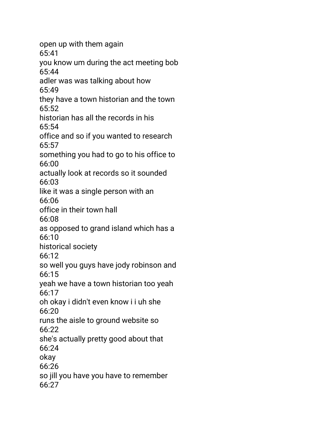open up with them again 65:41 you know um during the act meeting bob 65:44 adler was was talking about how 65:49 they have a town historian and the town 65:52 historian has all the records in his 65:54 office and so if you wanted to research 65:57 something you had to go to his office to 66:00 actually look at records so it sounded 66:03 like it was a single person with an 66:06 office in their town hall 66:08 as opposed to grand island which has a 66:10 historical society 66:12 so well you guys have jody robinson and 66:15 yeah we have a town historian too yeah 66:17 oh okay i didn't even know i i uh she 66:20 runs the aisle to ground website so 66:22 she's actually pretty good about that 66:24 okay 66:26 so jill you have you have to remember 66:27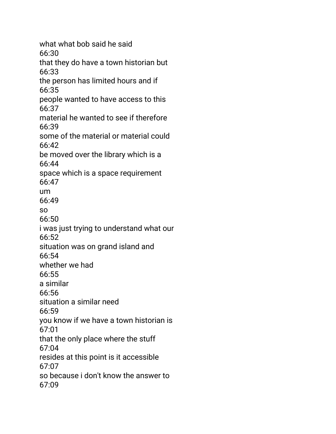what what bob said he said 66:30 that they do have a town historian but 66:33 the person has limited hours and if 66:35 people wanted to have access to this 66:37 material he wanted to see if therefore 66:39 some of the material or material could 66:42 be moved over the library which is a 66:44 space which is a space requirement 66:47 um 66:49 so 66:50 i was just trying to understand what our 66:52 situation was on grand island and 66:54 whether we had 66:55 a similar 66:56 situation a similar need 66:59 you know if we have a town historian is 67:01 that the only place where the stuff 67:04 resides at this point is it accessible 67:07 so because i don't know the answer to 67:09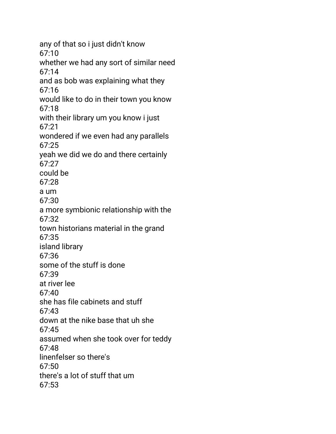any of that so i just didn't know 67:10 whether we had any sort of similar need 67:14 and as bob was explaining what they 67:16 would like to do in their town you know 67:18 with their library um you know i just 67:21 wondered if we even had any parallels 67:25 yeah we did we do and there certainly  $67:27$ could be 67:28 a um 67:30 a more symbionic relationship with the 67:32 town historians material in the grand 67:35 island library 67:36 some of the stuff is done 67:39 at river lee 67:40 she has file cabinets and stuff 67:43 down at the nike base that uh she 67:45 assumed when she took over for teddy 67:48 linenfelser so there's  $67:50$ there's a lot of stuff that um 67:53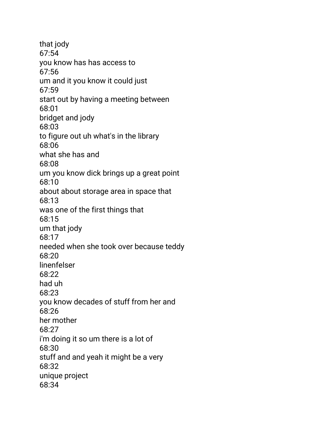that jody 67:54 you know has has access to 67:56 um and it you know it could just 67:59 start out by having a meeting between 68:01 bridget and jody 68:03 to figure out uh what's in the library 68:06 what she has and 68:08 um you know dick brings up a great point 68:10 about about storage area in space that 68:13 was one of the first things that 68:15 um that jody 68:17 needed when she took over because teddy 68:20 linenfelser 68:22 had uh 68:23 you know decades of stuff from her and 68:26 her mother 68:27 i'm doing it so um there is a lot of 68:30 stuff and and yeah it might be a very 68:32 unique project 68:34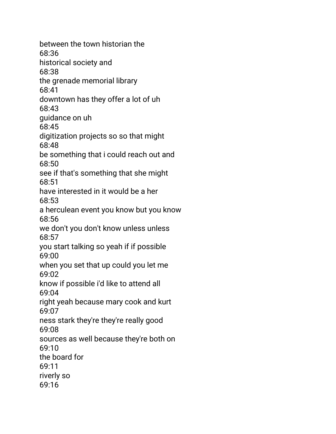between the town historian the 68:36 historical society and 68:38 the grenade memorial library 68:41 downtown has they offer a lot of uh 68:43 guidance on uh 68:45 digitization projects so so that might 68:48 be something that i could reach out and 68:50 see if that's something that she might 68:51 have interested in it would be a her 68:53 a herculean event you know but you know 68:56 we don't you don't know unless unless 68:57 you start talking so yeah if if possible 69:00 when you set that up could you let me 69:02 know if possible i'd like to attend all 69:04 right yeah because mary cook and kurt 69:07 ness stark they're they're really good 69:08 sources as well because they're both on 69:10 the board for 69:11 riverly so 69:16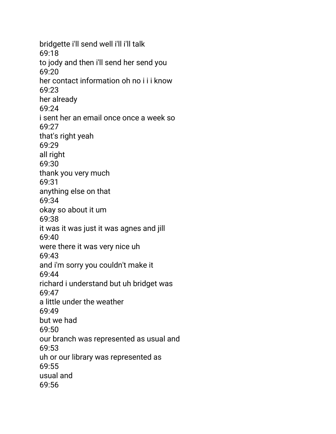bridgette i'll send well i'll i'll talk 69:18 to jody and then i'll send her send you 69:20 her contact information oh no i i i know 69:23 her already 69:24 i sent her an email once once a week so 69:27 that's right yeah 69:29 all right 69:30 thank you very much 69:31 anything else on that 69:34 okay so about it um 69:38 it was it was just it was agnes and jill 69:40 were there it was very nice uh 69:43 and i'm sorry you couldn't make it 69:44 richard i understand but uh bridget was 69:47 a little under the weather 69:49 but we had 69:50 our branch was represented as usual and 69:53 uh or our library was represented as 69:55 usual and 69:56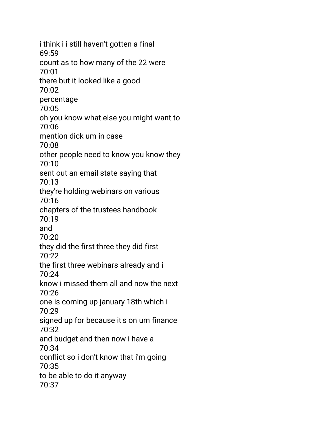i think i i still haven't gotten a final 69:59 count as to how many of the 22 were 70:01 there but it looked like a good 70:02 percentage 70:05 oh you know what else you might want to 70:06 mention dick um in case 70:08 other people need to know you know they 70:10 sent out an email state saying that 70:13 they're holding webinars on various 70:16 chapters of the trustees handbook 70:19 and 70:20 they did the first three they did first 70:22 the first three webinars already and i 70:24 know i missed them all and now the next 70:26 one is coming up january 18th which i 70:29 signed up for because it's on um finance 70:32 and budget and then now i have a 70:34 conflict so i don't know that i'm going 70:35 to be able to do it anyway 70:37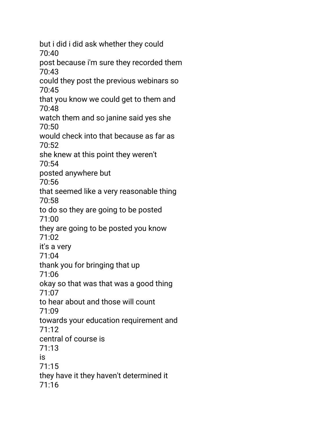but i did i did ask whether they could 70:40 post because i'm sure they recorded them 70:43 could they post the previous webinars so 70:45 that you know we could get to them and 70:48 watch them and so janine said yes she 70:50 would check into that because as far as 70:52 she knew at this point they weren't 70:54 posted anywhere but 70:56 that seemed like a very reasonable thing 70:58 to do so they are going to be posted 71:00 they are going to be posted you know 71:02 it's a very 71:04 thank you for bringing that up 71:06 okay so that was that was a good thing 71:07 to hear about and those will count 71:09 towards your education requirement and 71:12 central of course is 71:13 is 71:15 they have it they haven't determined it 71:16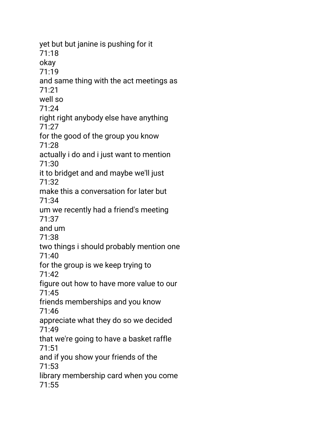yet but but janine is pushing for it 71:18 okay 71:19 and same thing with the act meetings as 71:21 well so 71:24 right right anybody else have anything 71:27 for the good of the group you know 71:28 actually i do and i just want to mention 71:30 it to bridget and and maybe we'll just 71:32 make this a conversation for later but 71:34 um we recently had a friend's meeting 71:37 and um 71:38 two things i should probably mention one 71:40 for the group is we keep trying to 71:42 figure out how to have more value to our 71:45 friends memberships and you know 71:46 appreciate what they do so we decided 71:49 that we're going to have a basket raffle 71:51 and if you show your friends of the 71:53 library membership card when you come 71:55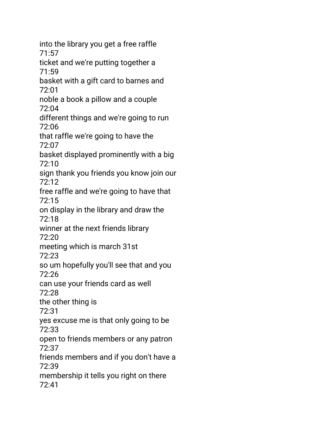into the library you get a free raffle 71:57 ticket and we're putting together a 71:59 basket with a gift card to barnes and 72:01 noble a book a pillow and a couple 72:04 different things and we're going to run 72:06 that raffle we're going to have the 72:07 basket displayed prominently with a big 72:10 sign thank you friends you know join our 72:12 free raffle and we're going to have that 72:15 on display in the library and draw the 72:18 winner at the next friends library 72:20 meeting which is march 31st 72:23 so um hopefully you'll see that and you 72:26 can use your friends card as well 72:28 the other thing is 72:31 yes excuse me is that only going to be 72:33 open to friends members or any patron 72:37 friends members and if you don't have a 72:39 membership it tells you right on there 72:41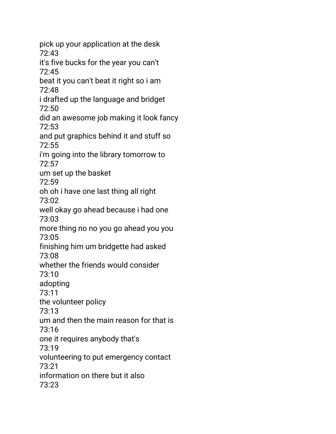pick up your application at the desk 72:43 it's five bucks for the year you can't 72:45 beat it you can't beat it right so i am 72:48 i drafted up the language and bridget 72:50 did an awesome job making it look fancy 72:53 and put graphics behind it and stuff so 72:55 i'm going into the library tomorrow to  $72.57$ um set up the basket 72:59 oh oh i have one last thing all right 73:02 well okay go ahead because i had one 73:03 more thing no no you go ahead you you 73:05 finishing him um bridgette had asked 73:08 whether the friends would consider 73:10 adopting 73:11 the volunteer policy 73:13 um and then the main reason for that is 73:16 one it requires anybody that's 73:19 volunteering to put emergency contact 73:21 information on there but it also 73:23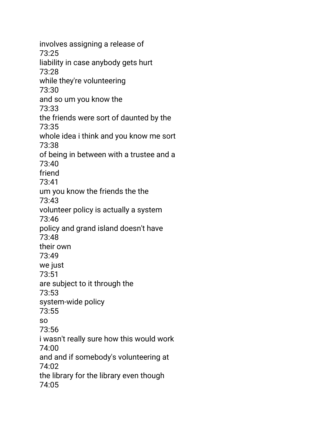involves assigning a release of 73:25 liability in case anybody gets hurt 73:28 while they're volunteering 73:30 and so um you know the 73:33 the friends were sort of daunted by the 73:35 whole idea i think and you know me sort 73:38 of being in between with a trustee and a 73:40 friend 73:41 um you know the friends the the 73:43 volunteer policy is actually a system 73:46 policy and grand island doesn't have 73:48 their own 73:49 we just 73:51 are subject to it through the 73:53 system-wide policy 73:55 so 73:56 i wasn't really sure how this would work 74:00 and and if somebody's volunteering at 74:02 the library for the library even though 74:05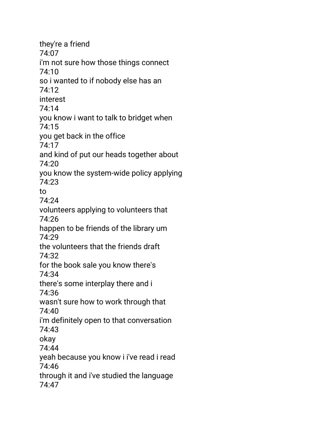they're a friend 74:07 i'm not sure how those things connect 74:10 so i wanted to if nobody else has an 74:12 interest 74:14 you know i want to talk to bridget when 74:15 you get back in the office 74:17 and kind of put our heads together about 74:20 you know the system-wide policy applying 74:23 to 74:24 volunteers applying to volunteers that 74:26 happen to be friends of the library um 74:29 the volunteers that the friends draft 74:32 for the book sale you know there's 74:34 there's some interplay there and i 74:36 wasn't sure how to work through that 74:40 i'm definitely open to that conversation 74:43 okay 74:44 yeah because you know i i've read i read 74:46 through it and i've studied the language 74:47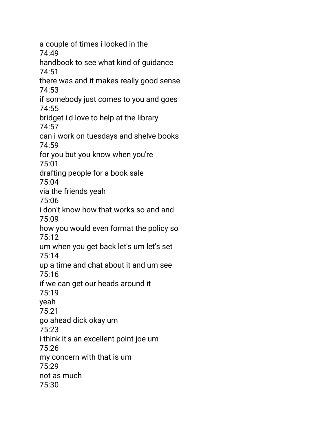a couple of times i looked in the 74:49 handbook to see what kind of guidance 74:51 there was and it makes really good sense 74:53 if somebody just comes to you and goes 74:55 bridget i'd love to help at the library 74:57 can i work on tuesdays and shelve books 74:59 for you but you know when you're 75:01 drafting people for a book sale 75:04 via the friends yeah 75:06 i don't know how that works so and and 75:09 how you would even format the policy so 75:12 um when you get back let's um let's set 75:14 up a time and chat about it and um see 75:16 if we can get our heads around it 75:19 yeah 75:21 go ahead dick okay um 75:23 i think it's an excellent point joe um 75:26 my concern with that is um 75:29 not as much 75:30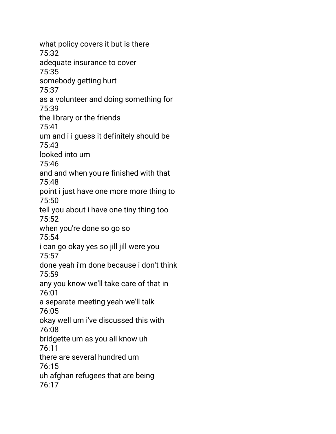what policy covers it but is there 75:32 adequate insurance to cover 75:35 somebody getting hurt 75:37 as a volunteer and doing something for 75:39 the library or the friends 75:41 um and i i guess it definitely should be 75:43 looked into um 75:46 and and when you're finished with that 75:48 point i just have one more more thing to 75:50 tell you about i have one tiny thing too 75:52 when you're done so go so 75:54 i can go okay yes so jill jill were you 75:57 done yeah i'm done because i don't think 75:59 any you know we'll take care of that in 76:01 a separate meeting yeah we'll talk 76:05 okay well um i've discussed this with 76:08 bridgette um as you all know uh 76:11 there are several hundred um 76:15 uh afghan refugees that are being 76:17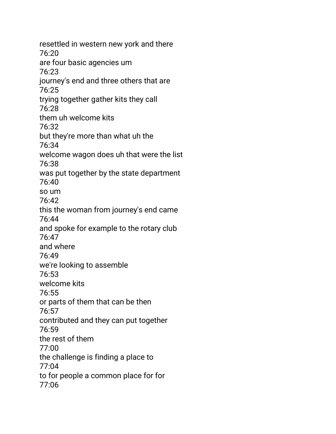resettled in western new york and there 76:20 are four basic agencies um 76:23 journey's end and three others that are 76:25 trying together gather kits they call 76:28 them uh welcome kits 76:32 but they're more than what uh the 76:34 welcome wagon does uh that were the list 76:38 was put together by the state department 76:40 so um 76:42 this the woman from journey's end came 76:44 and spoke for example to the rotary club 76:47 and where 76:49 we're looking to assemble 76:53 welcome kits 76:55 or parts of them that can be then 76:57 contributed and they can put together 76:59 the rest of them 77:00 the challenge is finding a place to 77:04 to for people a common place for for 77:06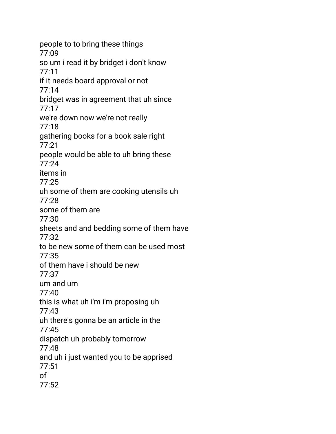people to to bring these things 77:09 so um i read it by bridget i don't know 77:11 if it needs board approval or not 77:14 bridget was in agreement that uh since 77:17 we're down now we're not really 77:18 gathering books for a book sale right 77:21 people would be able to uh bring these  $77:24$ items in 77:25 uh some of them are cooking utensils uh 77:28 some of them are 77:30 sheets and and bedding some of them have 77:32 to be new some of them can be used most 77:35 of them have i should be new 77:37 um and um 77:40 this is what uh i'm i'm proposing uh 77:43 uh there's gonna be an article in the 77:45 dispatch uh probably tomorrow 77:48 and uh i just wanted you to be apprised 77:51 of 77:52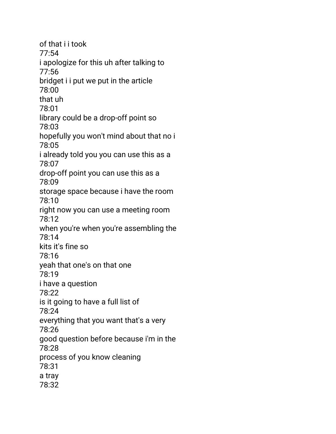of that i i took 77:54 i apologize for this uh after talking to 77:56 bridget i i put we put in the article 78:00 that uh 78:01 library could be a drop-off point so 78:03 hopefully you won't mind about that no i 78:05 i already told you you can use this as a 78:07 drop-off point you can use this as a 78:09 storage space because i have the room 78:10 right now you can use a meeting room 78:12 when you're when you're assembling the 78:14 kits it's fine so 78:16 yeah that one's on that one 78:19 i have a question 78:22 is it going to have a full list of 78:24 everything that you want that's a very 78:26 good question before because i'm in the 78:28 process of you know cleaning 78:31 a tray 78:32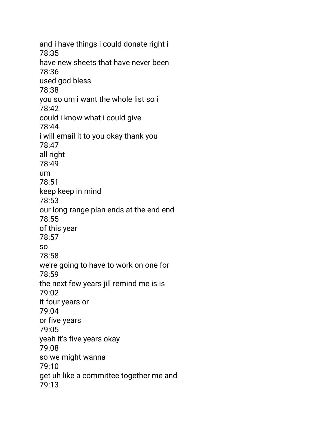and i have things i could donate right i 78:35 have new sheets that have never been 78:36 used god bless 78:38 you so um i want the whole list so i 78:42 could i know what i could give 78:44 i will email it to you okay thank you 78:47 all right 78:49 um 78:51 keep keep in mind 78:53 our long-range plan ends at the end end 78:55 of this year 78:57 so 78:58 we're going to have to work on one for 78:59 the next few years jill remind me is is 79:02 it four years or 79:04 or five years 79:05 yeah it's five years okay 79:08 so we might wanna 79:10 get uh like a committee together me and 79:13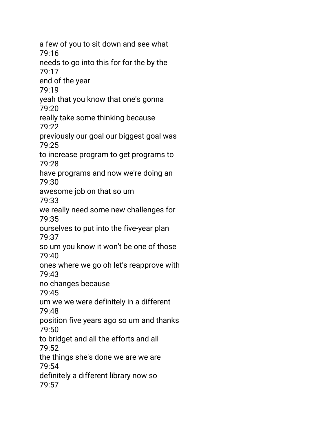a few of you to sit down and see what 79:16 needs to go into this for for the by the 79:17 end of the year 79:19 yeah that you know that one's gonna 79:20 really take some thinking because 79:22 previously our goal our biggest goal was 79:25 to increase program to get programs to 79:28 have programs and now we're doing an 79:30 awesome job on that so um 79:33 we really need some new challenges for 79:35 ourselves to put into the five-year plan 79:37 so um you know it won't be one of those 79:40 ones where we go oh let's reapprove with 79:43 no changes because 79:45 um we we were definitely in a different 79:48 position five years ago so um and thanks 79:50 to bridget and all the efforts and all 79:52 the things she's done we are we are 79:54 definitely a different library now so 79:57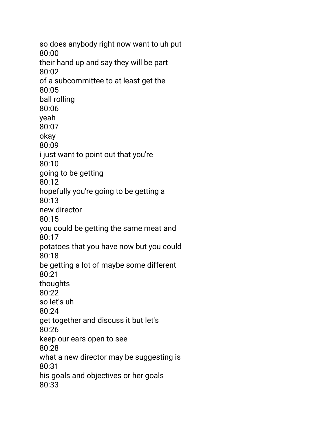so does anybody right now want to uh put 80:00 their hand up and say they will be part 80:02 of a subcommittee to at least get the 80:05 ball rolling 80:06 yeah 80:07 okay 80:09 i just want to point out that you're 80:10 going to be getting 80:12 hopefully you're going to be getting a 80:13 new director 80:15 you could be getting the same meat and 80:17 potatoes that you have now but you could 80:18 be getting a lot of maybe some different 80:21 thoughts 80:22 so let's uh 80:24 get together and discuss it but let's 80:26 keep our ears open to see 80:28 what a new director may be suggesting is 80:31 his goals and objectives or her goals 80:33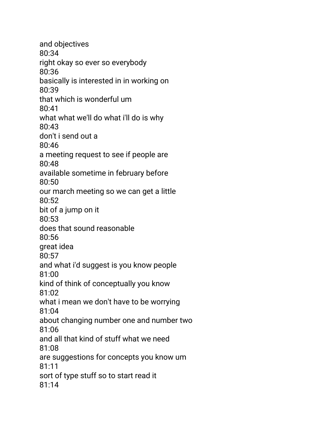and objectives 80:34 right okay so ever so everybody 80:36 basically is interested in in working on 80:39 that which is wonderful um 80:41 what what we'll do what i'll do is why 80:43 don't i send out a 80:46 a meeting request to see if people are 80:48 available sometime in february before 80:50 our march meeting so we can get a little 80:52 bit of a jump on it 80:53 does that sound reasonable 80:56 great idea 80:57 and what i'd suggest is you know people 81:00 kind of think of conceptually you know 81:02 what i mean we don't have to be worrying 81:04 about changing number one and number two 81:06 and all that kind of stuff what we need 81:08 are suggestions for concepts you know um 81:11 sort of type stuff so to start read it 81:14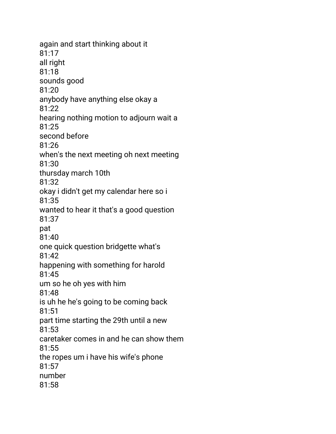again and start thinking about it 81:17 all right 81:18 sounds good 81:20 anybody have anything else okay a 81:22 hearing nothing motion to adjourn wait a 81:25 second before 81:26 when's the next meeting oh next meeting 81:30 thursday march 10th 81:32 okay i didn't get my calendar here so i 81:35 wanted to hear it that's a good question 81:37 pat 81:40 one quick question bridgette what's 81:42 happening with something for harold 81:45 um so he oh yes with him 81:48 is uh he he's going to be coming back 81:51 part time starting the 29th until a new 81:53 caretaker comes in and he can show them 81:55 the ropes um i have his wife's phone 81:57 number 81:58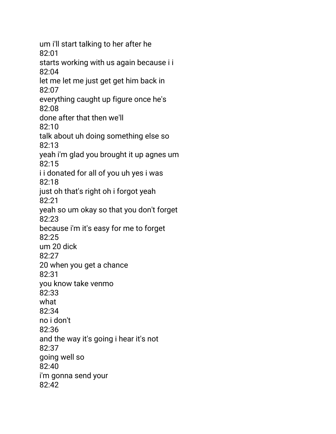um i'll start talking to her after he 82:01 starts working with us again because i i 82:04 let me let me just get get him back in 82:07 everything caught up figure once he's 82:08 done after that then we'll 82:10 talk about uh doing something else so 82:13 yeah i'm glad you brought it up agnes um 82:15 i i donated for all of you uh yes i was 82:18 just oh that's right oh i forgot yeah 82:21 yeah so um okay so that you don't forget 82:23 because i'm it's easy for me to forget 82:25 um 20 dick 82:27 20 when you get a chance 82:31 you know take venmo 82:33 what 82:34 no i don't 82:36 and the way it's going i hear it's not 82:37 going well so 82:40 i'm gonna send your 82:42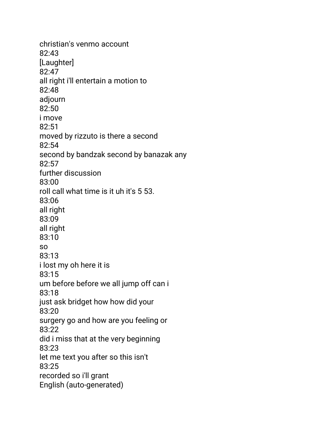christian's venmo account 82:43 [Laughter] 82:47 all right i'll entertain a motion to 82:48 adjourn 82:50 i move 82:51 moved by rizzuto is there a second 82:54 second by bandzak second by banazak any 82:57 further discussion 83:00 roll call what time is it uh it's 5 53. 83:06 all right 83:09 all right 83:10 so 83:13 i lost my oh here it is 83:15 um before before we all jump off can i 83:18 just ask bridget how how did your 83:20 surgery go and how are you feeling or 83:22 did i miss that at the very beginning 83:23 let me text you after so this isn't 83:25 recorded so i'll grant English (auto-generated)